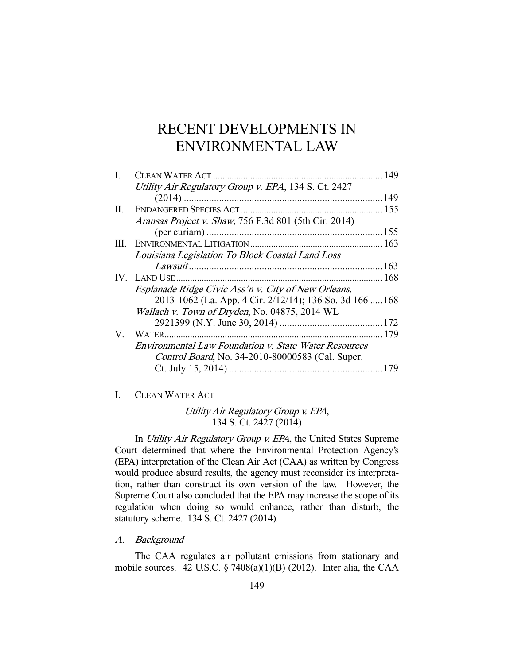# RECENT DEVELOPMENTS IN ENVIRONMENTAL LAW

| I.  | CLEAN WATER ACT                                              | 149 |
|-----|--------------------------------------------------------------|-----|
|     | Utility Air Regulatory Group v. EPA, 134 S. Ct. 2427         |     |
|     |                                                              |     |
| П.  |                                                              |     |
|     | Aransas Project v. Shaw, 756 F.3d 801 (5th Cir. 2014)        |     |
|     |                                                              |     |
| HL. |                                                              |     |
|     | Louisiana Legislation To Block Coastal Land Loss             |     |
|     |                                                              |     |
|     |                                                              |     |
|     | Esplanade Ridge Civic Ass'n v. City of New Orleans,          |     |
|     | 2013-1062 (La. App. 4 Cir. 2/12/14); 136 So. 3d 166  168     |     |
|     | Wallach v. Town of Dryden, No. 04875, 2014 WL                |     |
|     |                                                              |     |
|     |                                                              |     |
|     | <b>Environmental Law Foundation v. State Water Resources</b> |     |
|     | Control Board, No. 34-2010-80000583 (Cal. Super.             |     |
|     |                                                              |     |
|     |                                                              |     |

I. CLEAN WATER ACT

Utility Air Regulatory Group v. EPA, 134 S. Ct. 2427 (2014)

In Utility Air Regulatory Group v. EPA, the United States Supreme Court determined that where the Environmental Protection Agency's (EPA) interpretation of the Clean Air Act (CAA) as written by Congress would produce absurd results, the agency must reconsider its interpretation, rather than construct its own version of the law. However, the Supreme Court also concluded that the EPA may increase the scope of its regulation when doing so would enhance, rather than disturb, the statutory scheme. 134 S. Ct. 2427 (2014).

A. Background

 The CAA regulates air pollutant emissions from stationary and mobile sources. 42 U.S.C.  $\S$  7408(a)(1)(B) (2012). Inter alia, the CAA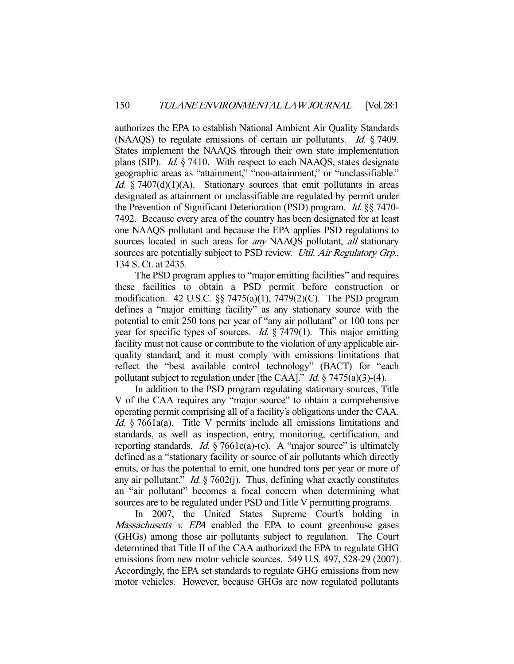authorizes the EPA to establish National Ambient Air Quality Standards (NAAQS) to regulate emissions of certain air pollutants. Id. § 7409. States implement the NAAQS through their own state implementation plans (SIP). Id. § 7410. With respect to each NAAQS, states designate geographic areas as "attainment," "non-attainment," or "unclassifiable." Id.  $§$  7407(d)(1)(A). Stationary sources that emit pollutants in areas designated as attainment or unclassifiable are regulated by permit under the Prevention of Significant Deterioration (PSD) program. Id. §§ 7470- 7492. Because every area of the country has been designated for at least one NAAQS pollutant and because the EPA applies PSD regulations to sources located in such areas for *any* NAAQS pollutant, *all* stationary sources are potentially subject to PSD review. Util. Air Regulatory Grp., 134 S. Ct. at 2435.

 The PSD program applies to "major emitting facilities" and requires these facilities to obtain a PSD permit before construction or modification. 42 U.S.C. §§ 7475(a)(1), 7479(2)(C). The PSD program defines a "major emitting facility" as any stationary source with the potential to emit 250 tons per year of "any air pollutant" or 100 tons per year for specific types of sources. *Id.*  $\S$  7479(1). This major emitting facility must not cause or contribute to the violation of any applicable airquality standard, and it must comply with emissions limitations that reflect the "best available control technology" (BACT) for "each pollutant subject to regulation under [the CAA]." *Id.*  $\S$  7475(a)(3)-(4).

 In addition to the PSD program regulating stationary sources, Title V of the CAA requires any "major source" to obtain a comprehensive operating permit comprising all of a facility's obligations under the CAA. Id. § 7661a(a). Title V permits include all emissions limitations and standards, as well as inspection, entry, monitoring, certification, and reporting standards. *Id.*  $\S 7661c(a)-(c)$ . A "major source" is ultimately defined as a "stationary facility or source of air pollutants which directly emits, or has the potential to emit, one hundred tons per year or more of any air pollutant." *Id.*  $\frac{6}{5}$  7602(j). Thus, defining what exactly constitutes an "air pollutant" becomes a focal concern when determining what sources are to be regulated under PSD and Title V permitting programs.

 In 2007, the United States Supreme Court's holding in Massachusetts v. EPA enabled the EPA to count greenhouse gases (GHGs) among those air pollutants subject to regulation. The Court determined that Title II of the CAA authorized the EPA to regulate GHG emissions from new motor vehicle sources. 549 U.S. 497, 528-29 (2007). Accordingly, the EPA set standards to regulate GHG emissions from new motor vehicles. However, because GHGs are now regulated pollutants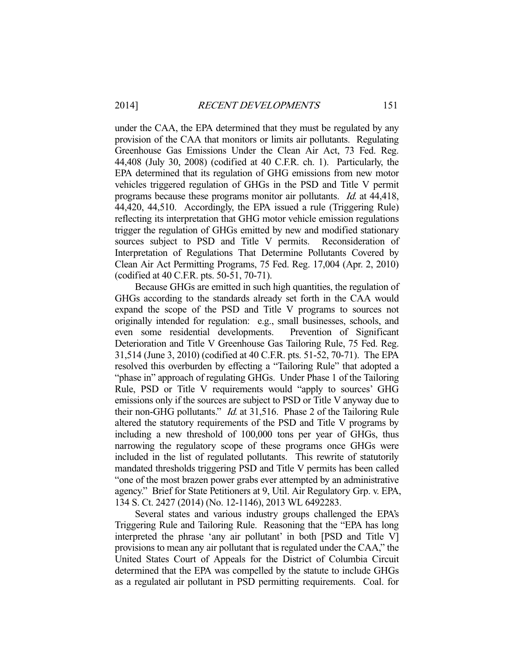under the CAA, the EPA determined that they must be regulated by any provision of the CAA that monitors or limits air pollutants. Regulating Greenhouse Gas Emissions Under the Clean Air Act, 73 Fed. Reg. 44,408 (July 30, 2008) (codified at 40 C.F.R. ch. 1). Particularly, the EPA determined that its regulation of GHG emissions from new motor vehicles triggered regulation of GHGs in the PSD and Title V permit programs because these programs monitor air pollutants. Id. at 44,418, 44,420, 44,510. Accordingly, the EPA issued a rule (Triggering Rule) reflecting its interpretation that GHG motor vehicle emission regulations trigger the regulation of GHGs emitted by new and modified stationary sources subject to PSD and Title V permits. Reconsideration of Interpretation of Regulations That Determine Pollutants Covered by Clean Air Act Permitting Programs, 75 Fed. Reg. 17,004 (Apr. 2, 2010) (codified at 40 C.F.R. pts. 50-51, 70-71).

 Because GHGs are emitted in such high quantities, the regulation of GHGs according to the standards already set forth in the CAA would expand the scope of the PSD and Title V programs to sources not originally intended for regulation: e.g., small businesses, schools, and even some residential developments. Prevention of Significant Deterioration and Title V Greenhouse Gas Tailoring Rule, 75 Fed. Reg. 31,514 (June 3, 2010) (codified at 40 C.F.R. pts. 51-52, 70-71). The EPA resolved this overburden by effecting a "Tailoring Rule" that adopted a "phase in" approach of regulating GHGs. Under Phase 1 of the Tailoring Rule, PSD or Title V requirements would "apply to sources' GHG emissions only if the sources are subject to PSD or Title V anyway due to their non-GHG pollutants." Id. at 31,516. Phase 2 of the Tailoring Rule altered the statutory requirements of the PSD and Title V programs by including a new threshold of 100,000 tons per year of GHGs, thus narrowing the regulatory scope of these programs once GHGs were included in the list of regulated pollutants. This rewrite of statutorily mandated thresholds triggering PSD and Title V permits has been called "one of the most brazen power grabs ever attempted by an administrative agency." Brief for State Petitioners at 9, Util. Air Regulatory Grp. v. EPA, 134 S. Ct. 2427 (2014) (No. 12-1146), 2013 WL 6492283.

 Several states and various industry groups challenged the EPA's Triggering Rule and Tailoring Rule. Reasoning that the "EPA has long interpreted the phrase 'any air pollutant' in both [PSD and Title V] provisions to mean any air pollutant that is regulated under the CAA," the United States Court of Appeals for the District of Columbia Circuit determined that the EPA was compelled by the statute to include GHGs as a regulated air pollutant in PSD permitting requirements. Coal. for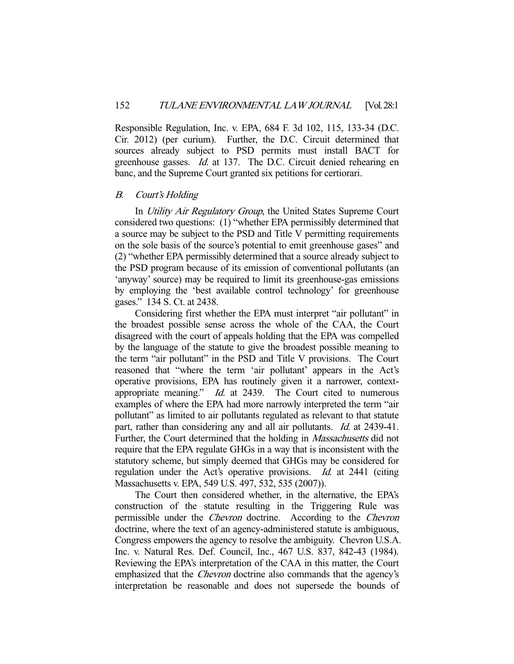Responsible Regulation, Inc. v. EPA, 684 F. 3d 102, 115, 133-34 (D.C. Cir. 2012) (per curium). Further, the D.C. Circuit determined that sources already subject to PSD permits must install BACT for greenhouse gasses. Id. at 137. The D.C. Circuit denied rehearing en banc, and the Supreme Court granted six petitions for certiorari.

# B. Court's Holding

In Utility Air Regulatory Group, the United States Supreme Court considered two questions: (1) "whether EPA permissibly determined that a source may be subject to the PSD and Title V permitting requirements on the sole basis of the source's potential to emit greenhouse gases" and (2) "whether EPA permissibly determined that a source already subject to the PSD program because of its emission of conventional pollutants (an 'anyway' source) may be required to limit its greenhouse-gas emissions by employing the 'best available control technology' for greenhouse gases." 134 S. Ct. at 2438.

 Considering first whether the EPA must interpret "air pollutant" in the broadest possible sense across the whole of the CAA, the Court disagreed with the court of appeals holding that the EPA was compelled by the language of the statute to give the broadest possible meaning to the term "air pollutant" in the PSD and Title V provisions. The Court reasoned that "where the term 'air pollutant' appears in the Act's operative provisions, EPA has routinely given it a narrower, contextappropriate meaning." *Id.* at 2439. The Court cited to numerous examples of where the EPA had more narrowly interpreted the term "air pollutant" as limited to air pollutants regulated as relevant to that statute part, rather than considering any and all air pollutants. Id. at 2439-41. Further, the Court determined that the holding in *Massachusetts* did not require that the EPA regulate GHGs in a way that is inconsistent with the statutory scheme, but simply deemed that GHGs may be considered for regulation under the Act's operative provisions. *Id.* at 2441 (citing Massachusetts v. EPA, 549 U.S. 497, 532, 535 (2007)).

 The Court then considered whether, in the alternative, the EPA's construction of the statute resulting in the Triggering Rule was permissible under the Chevron doctrine. According to the Chevron doctrine, where the text of an agency-administered statute is ambiguous, Congress empowers the agency to resolve the ambiguity. Chevron U.S.A. Inc. v. Natural Res. Def. Council, Inc., 467 U.S. 837, 842-43 (1984). Reviewing the EPA's interpretation of the CAA in this matter, the Court emphasized that the *Chevron* doctrine also commands that the agency's interpretation be reasonable and does not supersede the bounds of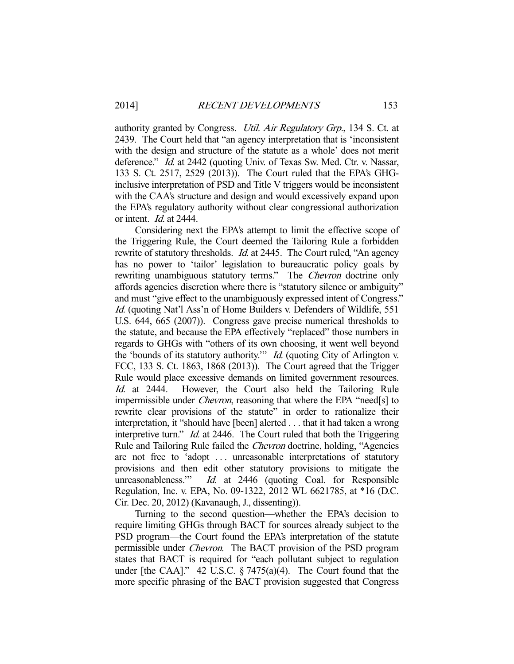authority granted by Congress. *Util. Air Regulatory Grp.*, 134 S. Ct. at 2439. The Court held that "an agency interpretation that is 'inconsistent with the design and structure of the statute as a whole' does not merit deference." *Id.* at 2442 (quoting Univ. of Texas Sw. Med. Ctr. v. Nassar, 133 S. Ct. 2517, 2529 (2013)). The Court ruled that the EPA's GHGinclusive interpretation of PSD and Title V triggers would be inconsistent with the CAA's structure and design and would excessively expand upon the EPA's regulatory authority without clear congressional authorization or intent. Id. at 2444.

 Considering next the EPA's attempt to limit the effective scope of the Triggering Rule, the Court deemed the Tailoring Rule a forbidden rewrite of statutory thresholds. *Id.* at 2445. The Court ruled, "An agency has no power to 'tailor' legislation to bureaucratic policy goals by rewriting unambiguous statutory terms." The *Chevron* doctrine only affords agencies discretion where there is "statutory silence or ambiguity" and must "give effect to the unambiguously expressed intent of Congress." Id. (quoting Nat'l Ass'n of Home Builders v. Defenders of Wildlife, 551 U.S. 644, 665 (2007)). Congress gave precise numerical thresholds to the statute, and because the EPA effectively "replaced" those numbers in regards to GHGs with "others of its own choosing, it went well beyond the 'bounds of its statutory authority.'" *Id.* (quoting City of Arlington v. FCC, 133 S. Ct. 1863, 1868 (2013)). The Court agreed that the Trigger Rule would place excessive demands on limited government resources. Id. at 2444. However, the Court also held the Tailoring Rule impermissible under Chevron, reasoning that where the EPA "need[s] to rewrite clear provisions of the statute" in order to rationalize their interpretation, it "should have [been] alerted . . . that it had taken a wrong interpretive turn." *Id.* at 2446. The Court ruled that both the Triggering Rule and Tailoring Rule failed the Chevron doctrine, holding, "Agencies are not free to 'adopt ... unreasonable interpretations of statutory provisions and then edit other statutory provisions to mitigate the unreasonableness." Id. at 2446 (quoting Coal. for Responsible Regulation, Inc. v. EPA, No. 09-1322, 2012 WL 6621785, at \*16 (D.C. Cir. Dec. 20, 2012) (Kavanaugh, J., dissenting)).

 Turning to the second question—whether the EPA's decision to require limiting GHGs through BACT for sources already subject to the PSD program—the Court found the EPA's interpretation of the statute permissible under Chevron. The BACT provision of the PSD program states that BACT is required for "each pollutant subject to regulation under [the CAA]." 42 U.S.C. § 7475(a)(4). The Court found that the more specific phrasing of the BACT provision suggested that Congress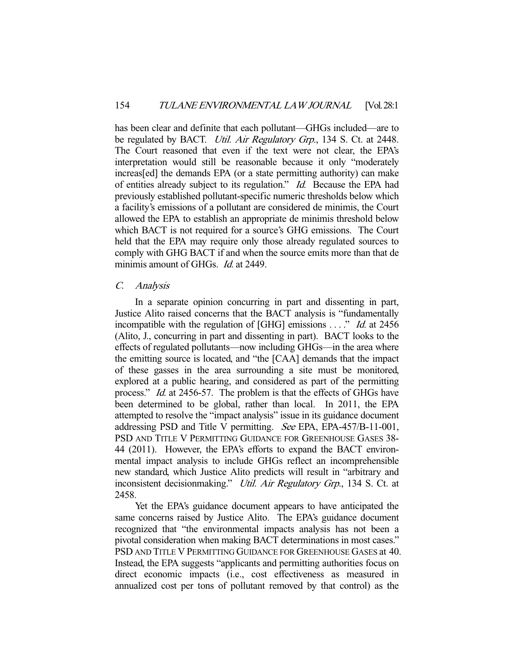has been clear and definite that each pollutant—GHGs included—are to be regulated by BACT. *Util. Air Regulatory Grp.*, 134 S. Ct. at 2448. The Court reasoned that even if the text were not clear, the EPA's interpretation would still be reasonable because it only "moderately increas[ed] the demands EPA (or a state permitting authority) can make of entities already subject to its regulation." Id. Because the EPA had previously established pollutant-specific numeric thresholds below which a facility's emissions of a pollutant are considered de minimis, the Court allowed the EPA to establish an appropriate de minimis threshold below which BACT is not required for a source's GHG emissions. The Court held that the EPA may require only those already regulated sources to comply with GHG BACT if and when the source emits more than that de minimis amount of GHGs. *Id.* at 2449.

#### C. Analysis

 In a separate opinion concurring in part and dissenting in part, Justice Alito raised concerns that the BACT analysis is "fundamentally incompatible with the regulation of [GHG] emissions  $\dots$ ." *Id.* at 2456 (Alito, J., concurring in part and dissenting in part). BACT looks to the effects of regulated pollutants—now including GHGs—in the area where the emitting source is located, and "the [CAA] demands that the impact of these gasses in the area surrounding a site must be monitored, explored at a public hearing, and considered as part of the permitting process." Id. at 2456-57. The problem is that the effects of GHGs have been determined to be global, rather than local. In 2011, the EPA attempted to resolve the "impact analysis" issue in its guidance document addressing PSD and Title V permitting. See EPA, EPA-457/B-11-001, PSD AND TITLE V PERMITTING GUIDANCE FOR GREENHOUSE GASES 38- 44 (2011). However, the EPA's efforts to expand the BACT environmental impact analysis to include GHGs reflect an incomprehensible new standard, which Justice Alito predicts will result in "arbitrary and inconsistent decisionmaking." *Util. Air Regulatory Grp.*, 134 S. Ct. at 2458.

 Yet the EPA's guidance document appears to have anticipated the same concerns raised by Justice Alito. The EPA's guidance document recognized that "the environmental impacts analysis has not been a pivotal consideration when making BACT determinations in most cases." PSD AND TITLE V PERMITTING GUIDANCE FOR GREENHOUSE GASES at 40. Instead, the EPA suggests "applicants and permitting authorities focus on direct economic impacts (i.e., cost effectiveness as measured in annualized cost per tons of pollutant removed by that control) as the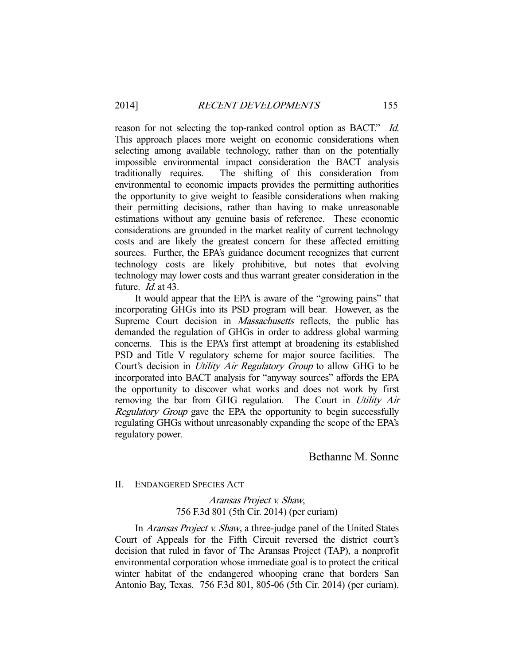reason for not selecting the top-ranked control option as BACT." Id. This approach places more weight on economic considerations when selecting among available technology, rather than on the potentially impossible environmental impact consideration the BACT analysis traditionally requires. The shifting of this consideration from environmental to economic impacts provides the permitting authorities the opportunity to give weight to feasible considerations when making their permitting decisions, rather than having to make unreasonable estimations without any genuine basis of reference. These economic considerations are grounded in the market reality of current technology costs and are likely the greatest concern for these affected emitting sources. Further, the EPA's guidance document recognizes that current technology costs are likely prohibitive, but notes that evolving technology may lower costs and thus warrant greater consideration in the future. *Id.* at 43.

 It would appear that the EPA is aware of the "growing pains" that incorporating GHGs into its PSD program will bear. However, as the Supreme Court decision in *Massachusetts* reflects, the public has demanded the regulation of GHGs in order to address global warming concerns. This is the EPA's first attempt at broadening its established PSD and Title V regulatory scheme for major source facilities. The Court's decision in Utility Air Regulatory Group to allow GHG to be incorporated into BACT analysis for "anyway sources" affords the EPA the opportunity to discover what works and does not work by first removing the bar from GHG regulation. The Court in Utility Air Regulatory Group gave the EPA the opportunity to begin successfully regulating GHGs without unreasonably expanding the scope of the EPA's regulatory power.

# Bethanne M. Sonne

# II. ENDANGERED SPECIES ACT

Aransas Project v. Shaw, 756 F.3d 801 (5th Cir. 2014) (per curiam)

In *Aransas Project v. Shaw*, a three-judge panel of the United States Court of Appeals for the Fifth Circuit reversed the district court's decision that ruled in favor of The Aransas Project (TAP), a nonprofit environmental corporation whose immediate goal is to protect the critical winter habitat of the endangered whooping crane that borders San Antonio Bay, Texas. 756 F.3d 801, 805-06 (5th Cir. 2014) (per curiam).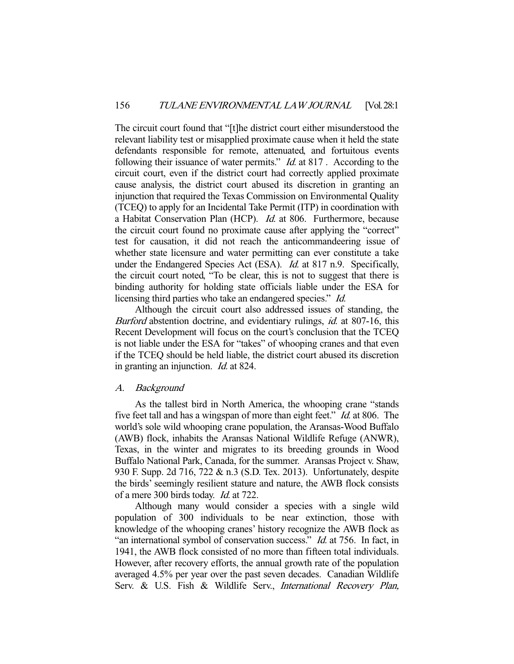The circuit court found that "[t]he district court either misunderstood the relevant liability test or misapplied proximate cause when it held the state defendants responsible for remote, attenuated, and fortuitous events following their issuance of water permits." *Id.* at 817. According to the circuit court, even if the district court had correctly applied proximate cause analysis, the district court abused its discretion in granting an injunction that required the Texas Commission on Environmental Quality (TCEQ) to apply for an Incidental Take Permit (ITP) in coordination with a Habitat Conservation Plan (HCP). Id. at 806. Furthermore, because the circuit court found no proximate cause after applying the "correct" test for causation, it did not reach the anticommandeering issue of whether state licensure and water permitting can ever constitute a take under the Endangered Species Act (ESA). *Id.* at 817 n.9. Specifically, the circuit court noted, "To be clear, this is not to suggest that there is binding authority for holding state officials liable under the ESA for licensing third parties who take an endangered species." *Id.* 

 Although the circuit court also addressed issues of standing, the Burford abstention doctrine, and evidentiary rulings, *id.* at 807-16, this Recent Development will focus on the court's conclusion that the TCEQ is not liable under the ESA for "takes" of whooping cranes and that even if the TCEQ should be held liable, the district court abused its discretion in granting an injunction. Id. at 824.

# A. Background

 As the tallest bird in North America, the whooping crane "stands five feet tall and has a wingspan of more than eight feet." *Id.* at 806. The world's sole wild whooping crane population, the Aransas-Wood Buffalo (AWB) flock, inhabits the Aransas National Wildlife Refuge (ANWR), Texas, in the winter and migrates to its breeding grounds in Wood Buffalo National Park, Canada, for the summer. Aransas Project v. Shaw, 930 F. Supp. 2d 716, 722 & n.3 (S.D. Tex. 2013). Unfortunately, despite the birds' seemingly resilient stature and nature, the AWB flock consists of a mere 300 birds today. Id. at 722.

 Although many would consider a species with a single wild population of 300 individuals to be near extinction, those with knowledge of the whooping cranes' history recognize the AWB flock as "an international symbol of conservation success." *Id.* at 756. In fact, in 1941, the AWB flock consisted of no more than fifteen total individuals. However, after recovery efforts, the annual growth rate of the population averaged 4.5% per year over the past seven decades. Canadian Wildlife Serv. & U.S. Fish & Wildlife Serv., International Recovery Plan,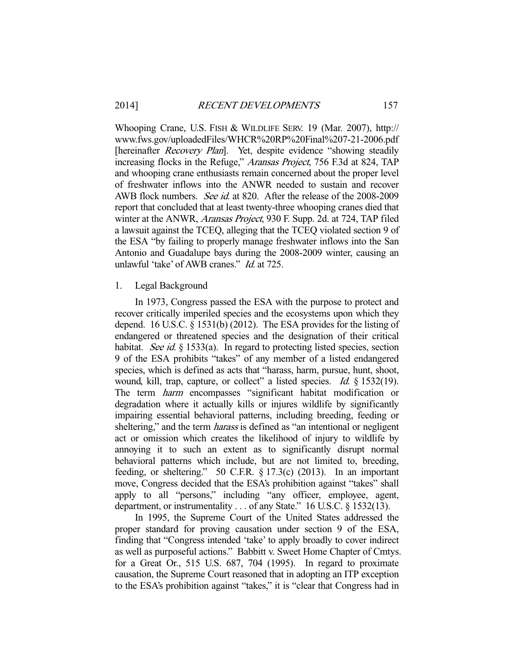Whooping Crane, U.S. FISH & WILDLIFE SERV. 19 (Mar. 2007), http:// www.fws.gov/uploadedFiles/WHCR%20RP%20Final%207-21-2006.pdf [hereinafter *Recovery Plan*]. Yet, despite evidence "showing steadily increasing flocks in the Refuge," Aransas Project, 756 F.3d at 824, TAP and whooping crane enthusiasts remain concerned about the proper level of freshwater inflows into the ANWR needed to sustain and recover AWB flock numbers. See id. at 820. After the release of the 2008-2009 report that concluded that at least twenty-three whooping cranes died that winter at the ANWR, *Aransas Project*, 930 F. Supp. 2d. at 724, TAP filed a lawsuit against the TCEQ, alleging that the TCEQ violated section 9 of the ESA "by failing to properly manage freshwater inflows into the San Antonio and Guadalupe bays during the 2008-2009 winter, causing an unlawful 'take' of AWB cranes." Id. at 725.

# 1. Legal Background

 In 1973, Congress passed the ESA with the purpose to protect and recover critically imperiled species and the ecosystems upon which they depend. 16 U.S.C. § 1531(b) (2012). The ESA provides for the listing of endangered or threatened species and the designation of their critical habitat. See id.  $\S$  1533(a). In regard to protecting listed species, section 9 of the ESA prohibits "takes" of any member of a listed endangered species, which is defined as acts that "harass, harm, pursue, hunt, shoot, wound, kill, trap, capture, or collect" a listed species. *Id.* § 1532(19). The term harm encompasses "significant habitat modification or degradation where it actually kills or injures wildlife by significantly impairing essential behavioral patterns, including breeding, feeding or sheltering," and the term *harass* is defined as "an intentional or negligent act or omission which creates the likelihood of injury to wildlife by annoying it to such an extent as to significantly disrupt normal behavioral patterns which include, but are not limited to, breeding, feeding, or sheltering." 50 C.F.R. § 17.3(c) (2013). In an important move, Congress decided that the ESA's prohibition against "takes" shall apply to all "persons," including "any officer, employee, agent, department, or instrumentality . . . of any State." 16 U.S.C. § 1532(13).

 In 1995, the Supreme Court of the United States addressed the proper standard for proving causation under section 9 of the ESA, finding that "Congress intended 'take' to apply broadly to cover indirect as well as purposeful actions." Babbitt v. Sweet Home Chapter of Cmtys. for a Great Or., 515 U.S. 687, 704 (1995). In regard to proximate causation, the Supreme Court reasoned that in adopting an ITP exception to the ESA's prohibition against "takes," it is "clear that Congress had in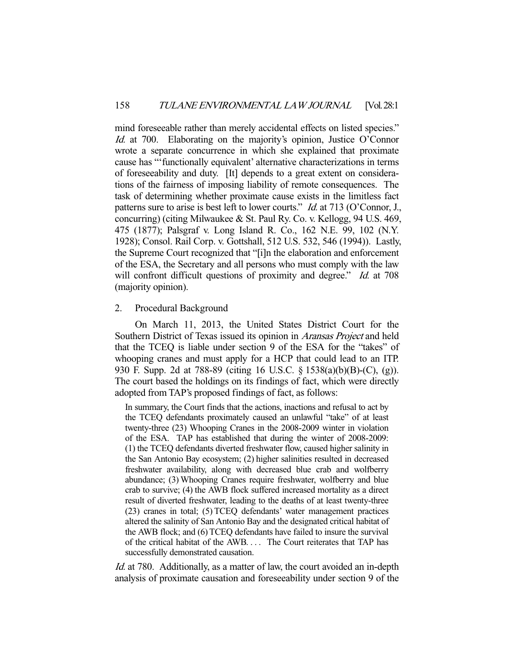mind foreseeable rather than merely accidental effects on listed species." Id. at 700. Elaborating on the majority's opinion, Justice O'Connor wrote a separate concurrence in which she explained that proximate cause has "'functionally equivalent' alternative characterizations in terms of foreseeability and duty. [It] depends to a great extent on considerations of the fairness of imposing liability of remote consequences. The task of determining whether proximate cause exists in the limitless fact patterns sure to arise is best left to lower courts." *Id.* at 713 (O'Connor, J., concurring) (citing Milwaukee & St. Paul Ry. Co. v. Kellogg, 94 U.S. 469, 475 (1877); Palsgraf v. Long Island R. Co., 162 N.E. 99, 102 (N.Y. 1928); Consol. Rail Corp. v. Gottshall, 512 U.S. 532, 546 (1994)). Lastly, the Supreme Court recognized that "[i]n the elaboration and enforcement of the ESA, the Secretary and all persons who must comply with the law will confront difficult questions of proximity and degree." Id. at 708 (majority opinion).

### 2. Procedural Background

 On March 11, 2013, the United States District Court for the Southern District of Texas issued its opinion in Aransas Project and held that the TCEQ is liable under section 9 of the ESA for the "takes" of whooping cranes and must apply for a HCP that could lead to an ITP. 930 F. Supp. 2d at 788-89 (citing 16 U.S.C. § 1538(a)(b)(B)-(C), (g)). The court based the holdings on its findings of fact, which were directly adopted from TAP's proposed findings of fact, as follows:

In summary, the Court finds that the actions, inactions and refusal to act by the TCEQ defendants proximately caused an unlawful "take" of at least twenty-three (23) Whooping Cranes in the 2008-2009 winter in violation of the ESA. TAP has established that during the winter of 2008-2009: (1) the TCEQ defendants diverted freshwater flow, caused higher salinity in the San Antonio Bay ecosystem; (2) higher salinities resulted in decreased freshwater availability, along with decreased blue crab and wolfberry abundance; (3) Whooping Cranes require freshwater, wolfberry and blue crab to survive; (4) the AWB flock suffered increased mortality as a direct result of diverted freshwater, leading to the deaths of at least twenty-three (23) cranes in total; (5) TCEQ defendants' water management practices altered the salinity of San Antonio Bay and the designated critical habitat of the AWB flock; and (6) TCEQ defendants have failed to insure the survival of the critical habitat of the AWB. . . . The Court reiterates that TAP has successfully demonstrated causation.

Id. at 780. Additionally, as a matter of law, the court avoided an in-depth analysis of proximate causation and foreseeability under section 9 of the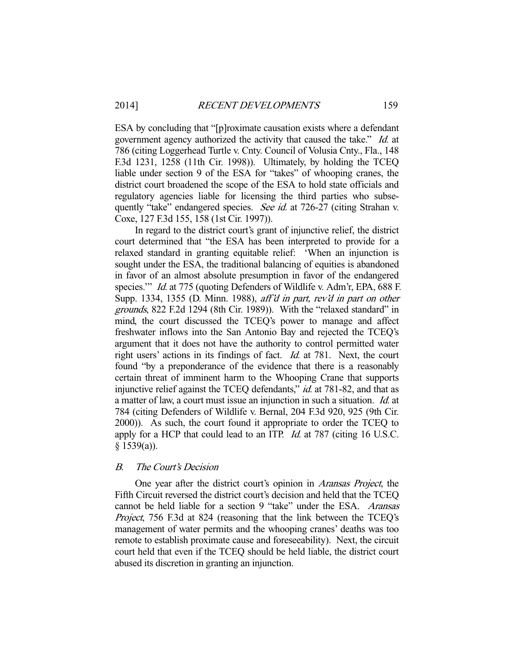ESA by concluding that "[p]roximate causation exists where a defendant government agency authorized the activity that caused the take." Id. at 786 (citing Loggerhead Turtle v. Cnty. Council of Volusia Cnty., Fla., 148 F.3d 1231, 1258 (11th Cir. 1998)). Ultimately, by holding the TCEQ liable under section 9 of the ESA for "takes" of whooping cranes, the district court broadened the scope of the ESA to hold state officials and regulatory agencies liable for licensing the third parties who subsequently "take" endangered species. See id. at 726-27 (citing Strahan v. Coxe, 127 F.3d 155, 158 (1st Cir. 1997)).

 In regard to the district court's grant of injunctive relief, the district court determined that "the ESA has been interpreted to provide for a relaxed standard in granting equitable relief: 'When an injunction is sought under the ESA, the traditional balancing of equities is abandoned in favor of an almost absolute presumption in favor of the endangered species." *Id.* at 775 (quoting Defenders of Wildlife v. Adm'r, EPA, 688 F. Supp. 1334, 1355 (D. Minn. 1988), aff'd in part, rev'd in part on other grounds, 822 F.2d 1294 (8th Cir. 1989)). With the "relaxed standard" in mind, the court discussed the TCEQ's power to manage and affect freshwater inflows into the San Antonio Bay and rejected the TCEQ's argument that it does not have the authority to control permitted water right users' actions in its findings of fact. Id. at 781. Next, the court found "by a preponderance of the evidence that there is a reasonably certain threat of imminent harm to the Whooping Crane that supports injunctive relief against the TCEQ defendants," id. at 781-82, and that as a matter of law, a court must issue an injunction in such a situation. Id. at 784 (citing Defenders of Wildlife v. Bernal, 204 F.3d 920, 925 (9th Cir. 2000)). As such, the court found it appropriate to order the TCEQ to apply for a HCP that could lead to an ITP. Id. at 787 (citing 16 U.S.C.  $§$  1539(a)).

## B. The Court's Decision

One year after the district court's opinion in *Aransas Project*, the Fifth Circuit reversed the district court's decision and held that the TCEQ cannot be held liable for a section 9 "take" under the ESA. Aransas Project, 756 F.3d at 824 (reasoning that the link between the TCEQ's management of water permits and the whooping cranes' deaths was too remote to establish proximate cause and foreseeability). Next, the circuit court held that even if the TCEQ should be held liable, the district court abused its discretion in granting an injunction.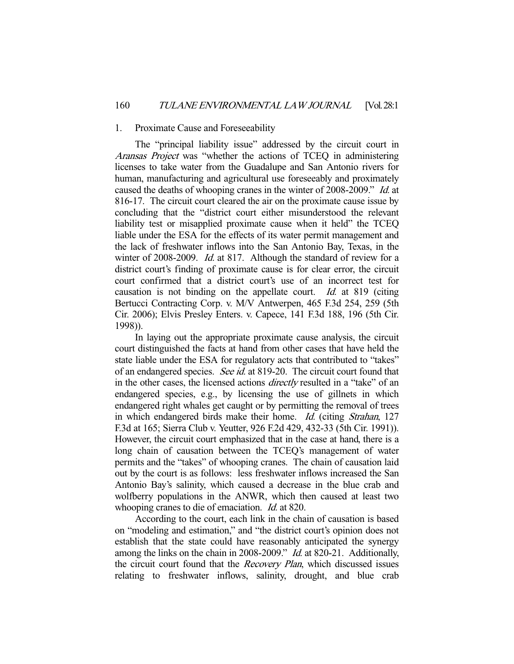#### 1. Proximate Cause and Foreseeability

 The "principal liability issue" addressed by the circuit court in Aransas Project was "whether the actions of TCEQ in administering licenses to take water from the Guadalupe and San Antonio rivers for human, manufacturing and agricultural use foreseeably and proximately caused the deaths of whooping cranes in the winter of 2008-2009." Id. at 816-17. The circuit court cleared the air on the proximate cause issue by concluding that the "district court either misunderstood the relevant liability test or misapplied proximate cause when it held" the TCEQ liable under the ESA for the effects of its water permit management and the lack of freshwater inflows into the San Antonio Bay, Texas, in the winter of 2008-2009. Id. at 817. Although the standard of review for a district court's finding of proximate cause is for clear error, the circuit court confirmed that a district court's use of an incorrect test for causation is not binding on the appellate court. Id. at 819 (citing Bertucci Contracting Corp. v. M/V Antwerpen, 465 F.3d 254, 259 (5th Cir. 2006); Elvis Presley Enters. v. Capece, 141 F.3d 188, 196 (5th Cir. 1998)).

 In laying out the appropriate proximate cause analysis, the circuit court distinguished the facts at hand from other cases that have held the state liable under the ESA for regulatory acts that contributed to "takes" of an endangered species. See id. at 819-20. The circuit court found that in the other cases, the licensed actions directly resulted in a "take" of an endangered species, e.g., by licensing the use of gillnets in which endangered right whales get caught or by permitting the removal of trees in which endangered birds make their home. Id. (citing Strahan, 127 F.3d at 165; Sierra Club v. Yeutter, 926 F.2d 429, 432-33 (5th Cir. 1991)). However, the circuit court emphasized that in the case at hand, there is a long chain of causation between the TCEQ's management of water permits and the "takes" of whooping cranes. The chain of causation laid out by the court is as follows: less freshwater inflows increased the San Antonio Bay's salinity, which caused a decrease in the blue crab and wolfberry populations in the ANWR, which then caused at least two whooping cranes to die of emaciation. *Id.* at 820.

 According to the court, each link in the chain of causation is based on "modeling and estimation," and "the district court's opinion does not establish that the state could have reasonably anticipated the synergy among the links on the chain in 2008-2009." Id. at 820-21. Additionally, the circuit court found that the *Recovery Plan*, which discussed issues relating to freshwater inflows, salinity, drought, and blue crab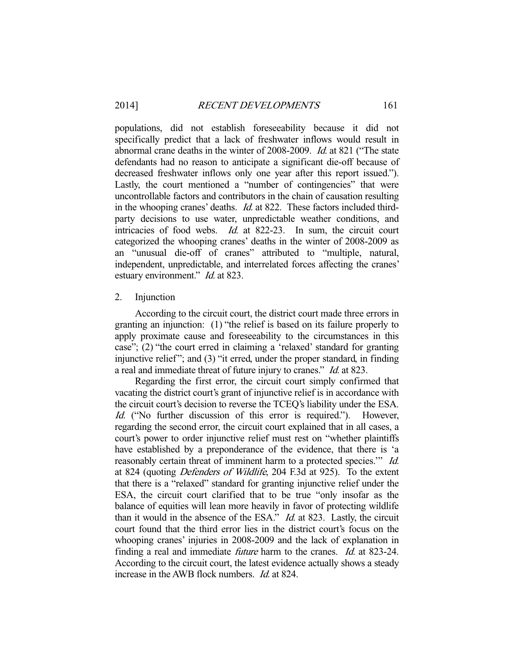populations, did not establish foreseeability because it did not specifically predict that a lack of freshwater inflows would result in abnormal crane deaths in the winter of 2008-2009. Id. at 821 ("The state defendants had no reason to anticipate a significant die-off because of decreased freshwater inflows only one year after this report issued."). Lastly, the court mentioned a "number of contingencies" that were uncontrollable factors and contributors in the chain of causation resulting in the whooping cranes' deaths. Id. at 822. These factors included thirdparty decisions to use water, unpredictable weather conditions, and intricacies of food webs. Id. at 822-23. In sum, the circuit court categorized the whooping cranes' deaths in the winter of 2008-2009 as an "unusual die-off of cranes" attributed to "multiple, natural, independent, unpredictable, and interrelated forces affecting the cranes' estuary environment." *Id.* at 823.

#### 2. Injunction

 According to the circuit court, the district court made three errors in granting an injunction: (1) "the relief is based on its failure properly to apply proximate cause and foreseeability to the circumstances in this case"; (2) "the court erred in claiming a 'relaxed' standard for granting injunctive relief "; and (3) "it erred, under the proper standard, in finding a real and immediate threat of future injury to cranes." Id. at 823.

 Regarding the first error, the circuit court simply confirmed that vacating the district court's grant of injunctive relief is in accordance with the circuit court's decision to reverse the TCEQ's liability under the ESA. Id. ("No further discussion of this error is required."). However, regarding the second error, the circuit court explained that in all cases, a court's power to order injunctive relief must rest on "whether plaintiffs have established by a preponderance of the evidence, that there is 'a reasonably certain threat of imminent harm to a protected species." Id. at 824 (quoting Defenders of Wildlife, 204 F.3d at 925). To the extent that there is a "relaxed" standard for granting injunctive relief under the ESA, the circuit court clarified that to be true "only insofar as the balance of equities will lean more heavily in favor of protecting wildlife than it would in the absence of the ESA."  $Id$  at 823. Lastly, the circuit court found that the third error lies in the district court's focus on the whooping cranes' injuries in 2008-2009 and the lack of explanation in finding a real and immediate *future* harm to the cranes. *Id.* at 823-24. According to the circuit court, the latest evidence actually shows a steady increase in the AWB flock numbers. *Id.* at 824.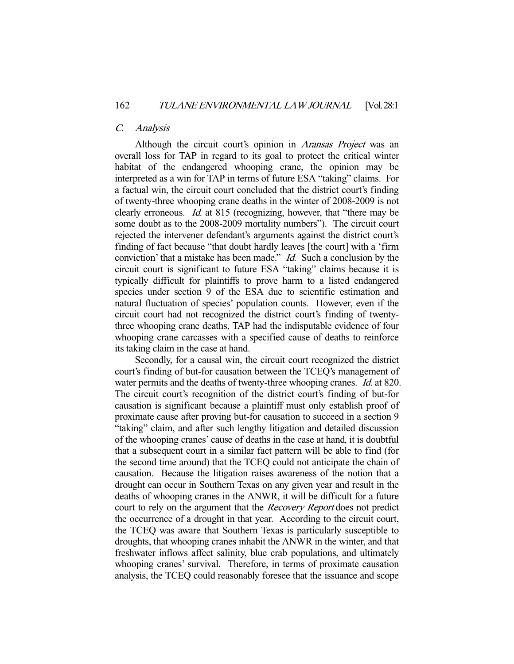# C. Analysis

Although the circuit court's opinion in *Aransas Project* was an overall loss for TAP in regard to its goal to protect the critical winter habitat of the endangered whooping crane, the opinion may be interpreted as a win for TAP in terms of future ESA "taking" claims. For a factual win, the circuit court concluded that the district court's finding of twenty-three whooping crane deaths in the winter of 2008-2009 is not clearly erroneous. Id. at 815 (recognizing, however, that "there may be some doubt as to the 2008-2009 mortality numbers"). The circuit court rejected the intervener defendant's arguments against the district court's finding of fact because "that doubt hardly leaves [the court] with a 'firm conviction' that a mistake has been made." Id. Such a conclusion by the circuit court is significant to future ESA "taking" claims because it is typically difficult for plaintiffs to prove harm to a listed endangered species under section 9 of the ESA due to scientific estimation and natural fluctuation of species' population counts. However, even if the circuit court had not recognized the district court's finding of twentythree whooping crane deaths, TAP had the indisputable evidence of four whooping crane carcasses with a specified cause of deaths to reinforce its taking claim in the case at hand.

 Secondly, for a causal win, the circuit court recognized the district court's finding of but-for causation between the TCEQ's management of water permits and the deaths of twenty-three whooping cranes. *Id.* at 820. The circuit court's recognition of the district court's finding of but-for causation is significant because a plaintiff must only establish proof of proximate cause after proving but-for causation to succeed in a section 9 "taking" claim, and after such lengthy litigation and detailed discussion of the whooping cranes' cause of deaths in the case at hand, it is doubtful that a subsequent court in a similar fact pattern will be able to find (for the second time around) that the TCEQ could not anticipate the chain of causation. Because the litigation raises awareness of the notion that a drought can occur in Southern Texas on any given year and result in the deaths of whooping cranes in the ANWR, it will be difficult for a future court to rely on the argument that the Recovery Report does not predict the occurrence of a drought in that year. According to the circuit court, the TCEQ was aware that Southern Texas is particularly susceptible to droughts, that whooping cranes inhabit the ANWR in the winter, and that freshwater inflows affect salinity, blue crab populations, and ultimately whooping cranes' survival. Therefore, in terms of proximate causation analysis, the TCEQ could reasonably foresee that the issuance and scope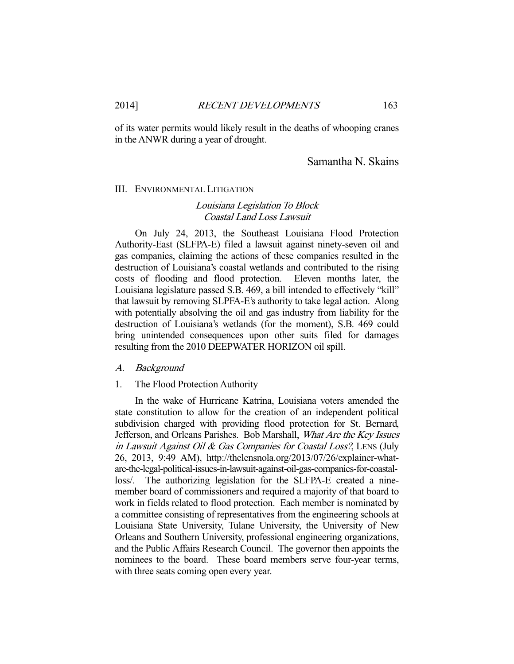of its water permits would likely result in the deaths of whooping cranes in the ANWR during a year of drought.

# Samantha N. Skains

## III. ENVIRONMENTAL LITIGATION

# Louisiana Legislation To Block Coastal Land Loss Lawsuit

 On July 24, 2013, the Southeast Louisiana Flood Protection Authority-East (SLFPA-E) filed a lawsuit against ninety-seven oil and gas companies, claiming the actions of these companies resulted in the destruction of Louisiana's coastal wetlands and contributed to the rising costs of flooding and flood protection. Eleven months later, the Louisiana legislature passed S.B. 469, a bill intended to effectively "kill" that lawsuit by removing SLPFA-E's authority to take legal action. Along with potentially absolving the oil and gas industry from liability for the destruction of Louisiana's wetlands (for the moment), S.B. 469 could bring unintended consequences upon other suits filed for damages resulting from the 2010 DEEPWATER HORIZON oil spill.

#### A. Background

#### 1. The Flood Protection Authority

 In the wake of Hurricane Katrina, Louisiana voters amended the state constitution to allow for the creation of an independent political subdivision charged with providing flood protection for St. Bernard, Jefferson, and Orleans Parishes. Bob Marshall, What Are the Key Issues in Lawsuit Against Oil & Gas Companies for Coastal Loss?, LENS (July 26, 2013, 9:49 AM), http://thelensnola.org/2013/07/26/explainer-whatare-the-legal-political-issues-in-lawsuit-against-oil-gas-companies-for-coastalloss/. The authorizing legislation for the SLFPA-E created a ninemember board of commissioners and required a majority of that board to work in fields related to flood protection. Each member is nominated by a committee consisting of representatives from the engineering schools at Louisiana State University, Tulane University, the University of New Orleans and Southern University, professional engineering organizations, and the Public Affairs Research Council. The governor then appoints the nominees to the board. These board members serve four-year terms, with three seats coming open every year.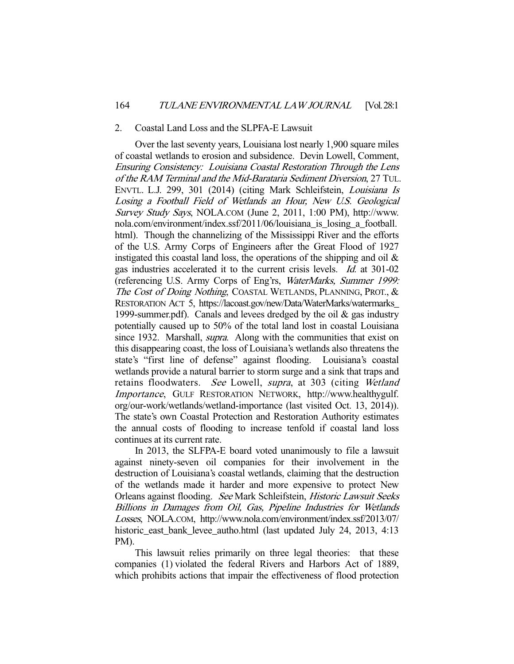#### 2. Coastal Land Loss and the SLPFA-E Lawsuit

 Over the last seventy years, Louisiana lost nearly 1,900 square miles of coastal wetlands to erosion and subsidence. Devin Lowell, Comment, Ensuring Consistency: Louisiana Coastal Restoration Through the Lens of the RAM Terminal and the Mid-Barataria Sediment Diversion, 27 TUL. ENVTL. L.J. 299, 301 (2014) (citing Mark Schleifstein, Louisiana Is Losing a Football Field of Wetlands an Hour, New U.S. Geological Survey Study Says, NOLA.COM (June 2, 2011, 1:00 PM), http://www. nola.com/environment/index.ssf/2011/06/louisiana\_is\_losing\_a\_football. html). Though the channelizing of the Mississippi River and the efforts of the U.S. Army Corps of Engineers after the Great Flood of 1927 instigated this coastal land loss, the operations of the shipping and oil  $\&$ gas industries accelerated it to the current crisis levels. Id. at 301-02 (referencing U.S. Army Corps of Eng'rs, WaterMarks, Summer 1999: The Cost of Doing Nothing, COASTAL WETLANDS, PLANNING, PROT., & RESTORATION ACT 5, https://lacoast.gov/new/Data/WaterMarks/watermarks\_ 1999-summer.pdf). Canals and levees dredged by the oil  $\&$  gas industry potentially caused up to 50% of the total land lost in coastal Louisiana since 1932. Marshall, *supra*. Along with the communities that exist on this disappearing coast, the loss of Louisiana's wetlands also threatens the state's "first line of defense" against flooding. Louisiana's coastal wetlands provide a natural barrier to storm surge and a sink that traps and retains floodwaters. See Lowell, supra, at 303 (citing Wetland Importance, GULF RESTORATION NETWORK, http://www.healthygulf. org/our-work/wetlands/wetland-importance (last visited Oct. 13, 2014)). The state's own Coastal Protection and Restoration Authority estimates the annual costs of flooding to increase tenfold if coastal land loss continues at its current rate.

 In 2013, the SLFPA-E board voted unanimously to file a lawsuit against ninety-seven oil companies for their involvement in the destruction of Louisiana's coastal wetlands, claiming that the destruction of the wetlands made it harder and more expensive to protect New Orleans against flooding. See Mark Schleifstein, Historic Lawsuit Seeks Billions in Damages from Oil, Gas, Pipeline Industries for Wetlands Losses, NOLA.COM, http://www.nola.com/environment/index.ssf/2013/07/ historic\_east\_bank\_levee\_autho.html (last updated July 24, 2013, 4:13 PM).

 This lawsuit relies primarily on three legal theories: that these companies (1) violated the federal Rivers and Harbors Act of 1889, which prohibits actions that impair the effectiveness of flood protection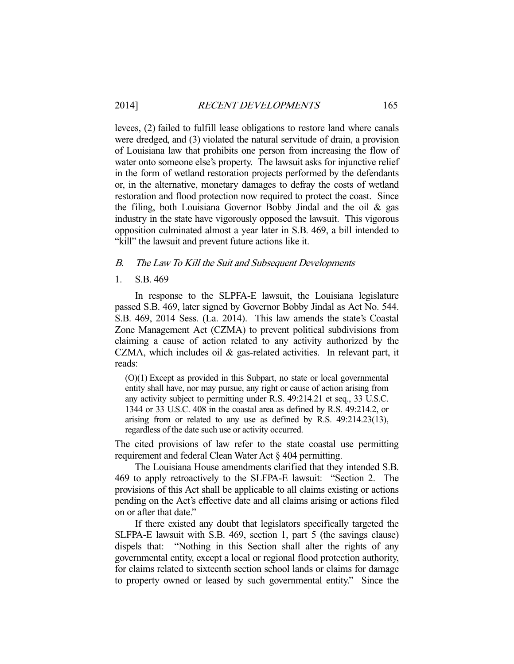levees, (2) failed to fulfill lease obligations to restore land where canals were dredged, and (3) violated the natural servitude of drain, a provision of Louisiana law that prohibits one person from increasing the flow of water onto someone else's property. The lawsuit asks for injunctive relief in the form of wetland restoration projects performed by the defendants or, in the alternative, monetary damages to defray the costs of wetland restoration and flood protection now required to protect the coast. Since the filing, both Louisiana Governor Bobby Jindal and the oil & gas industry in the state have vigorously opposed the lawsuit. This vigorous opposition culminated almost a year later in S.B. 469, a bill intended to "kill" the lawsuit and prevent future actions like it.

## B. The Law To Kill the Suit and Subsequent Developments

#### 1. S.B. 469

 In response to the SLPFA-E lawsuit, the Louisiana legislature passed S.B. 469, later signed by Governor Bobby Jindal as Act No. 544. S.B. 469, 2014 Sess. (La. 2014). This law amends the state's Coastal Zone Management Act (CZMA) to prevent political subdivisions from claiming a cause of action related to any activity authorized by the CZMA, which includes oil & gas-related activities. In relevant part, it reads:

(O)(1) Except as provided in this Subpart, no state or local governmental entity shall have, nor may pursue, any right or cause of action arising from any activity subject to permitting under R.S. 49:214.21 et seq., 33 U.S.C. 1344 or 33 U.S.C. 408 in the coastal area as defined by R.S. 49:214.2, or arising from or related to any use as defined by R.S. 49:214.23(13), regardless of the date such use or activity occurred.

The cited provisions of law refer to the state coastal use permitting requirement and federal Clean Water Act § 404 permitting.

 The Louisiana House amendments clarified that they intended S.B. 469 to apply retroactively to the SLFPA-E lawsuit: "Section 2. The provisions of this Act shall be applicable to all claims existing or actions pending on the Act's effective date and all claims arising or actions filed on or after that date."

 If there existed any doubt that legislators specifically targeted the SLFPA-E lawsuit with S.B. 469, section 1, part 5 (the savings clause) dispels that: "Nothing in this Section shall alter the rights of any governmental entity, except a local or regional flood protection authority, for claims related to sixteenth section school lands or claims for damage to property owned or leased by such governmental entity." Since the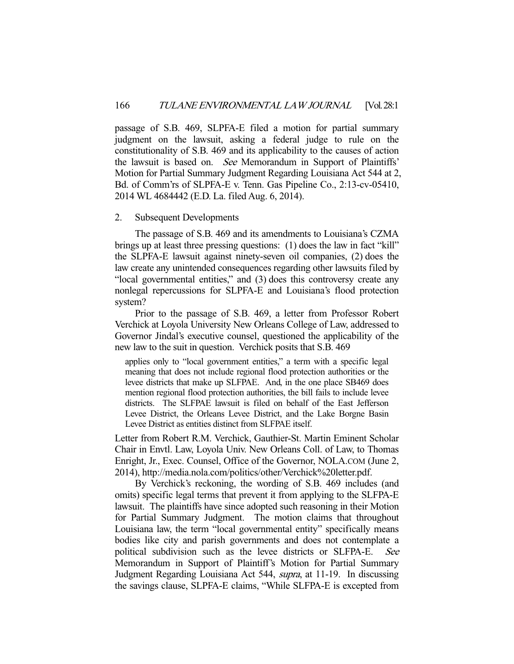passage of S.B. 469, SLPFA-E filed a motion for partial summary judgment on the lawsuit, asking a federal judge to rule on the constitutionality of S.B. 469 and its applicability to the causes of action the lawsuit is based on. See Memorandum in Support of Plaintiffs' Motion for Partial Summary Judgment Regarding Louisiana Act 544 at 2, Bd. of Comm'rs of SLPFA-E v. Tenn. Gas Pipeline Co., 2:13-cv-05410, 2014 WL 4684442 (E.D. La. filed Aug. 6, 2014).

# 2. Subsequent Developments

 The passage of S.B. 469 and its amendments to Louisiana's CZMA brings up at least three pressing questions: (1) does the law in fact "kill" the SLPFA-E lawsuit against ninety-seven oil companies, (2) does the law create any unintended consequences regarding other lawsuits filed by "local governmental entities," and (3) does this controversy create any nonlegal repercussions for SLPFA-E and Louisiana's flood protection system?

 Prior to the passage of S.B. 469, a letter from Professor Robert Verchick at Loyola University New Orleans College of Law, addressed to Governor Jindal's executive counsel, questioned the applicability of the new law to the suit in question. Verchick posits that S.B. 469

applies only to "local government entities," a term with a specific legal meaning that does not include regional flood protection authorities or the levee districts that make up SLFPAE. And, in the one place SB469 does mention regional flood protection authorities, the bill fails to include levee districts. The SLFPAE lawsuit is filed on behalf of the East Jefferson Levee District, the Orleans Levee District, and the Lake Borgne Basin Levee District as entities distinct from SLFPAE itself.

Letter from Robert R.M. Verchick, Gauthier-St. Martin Eminent Scholar Chair in Envtl. Law, Loyola Univ. New Orleans Coll. of Law, to Thomas Enright, Jr., Exec. Counsel, Office of the Governor, NOLA.COM (June 2, 2014), http://media.nola.com/politics/other/Verchick%20letter.pdf.

 By Verchick's reckoning, the wording of S.B. 469 includes (and omits) specific legal terms that prevent it from applying to the SLFPA-E lawsuit. The plaintiffs have since adopted such reasoning in their Motion for Partial Summary Judgment. The motion claims that throughout Louisiana law, the term "local governmental entity" specifically means bodies like city and parish governments and does not contemplate a political subdivision such as the levee districts or SLFPA-E. See Memorandum in Support of Plaintiff's Motion for Partial Summary Judgment Regarding Louisiana Act 544, supra, at 11-19. In discussing the savings clause, SLPFA-E claims, "While SLFPA-E is excepted from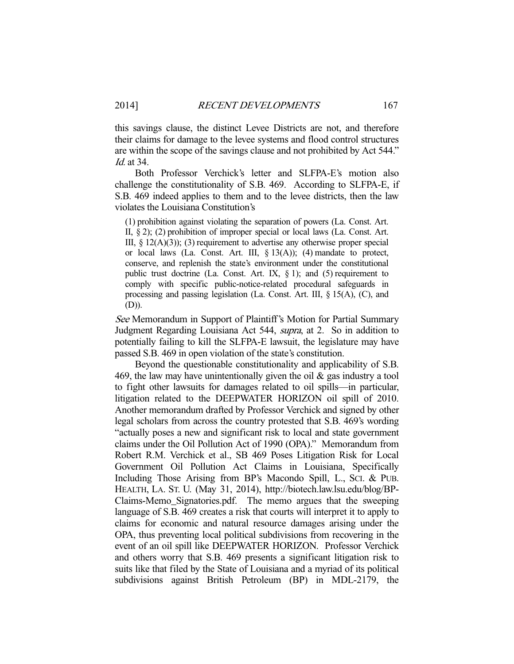this savings clause, the distinct Levee Districts are not, and therefore their claims for damage to the levee systems and flood control structures are within the scope of the savings clause and not prohibited by Act 544." Id. at 34.

 Both Professor Verchick's letter and SLFPA-E's motion also challenge the constitutionality of S.B. 469. According to SLFPA-E, if S.B. 469 indeed applies to them and to the levee districts, then the law violates the Louisiana Constitution's

(1) prohibition against violating the separation of powers (La. Const. Art. II, § 2); (2) prohibition of improper special or local laws (La. Const. Art. III,  $\S$  12(A)(3)); (3) requirement to advertise any otherwise proper special or local laws (La. Const. Art. III,  $\S 13(A)$ ); (4) mandate to protect, conserve, and replenish the state's environment under the constitutional public trust doctrine (La. Const. Art. IX,  $\S$  1); and (5) requirement to comply with specific public-notice-related procedural safeguards in processing and passing legislation (La. Const. Art. III, § 15(A), (C), and (D)).

See Memorandum in Support of Plaintiff's Motion for Partial Summary Judgment Regarding Louisiana Act 544, supra, at 2. So in addition to potentially failing to kill the SLFPA-E lawsuit, the legislature may have passed S.B. 469 in open violation of the state's constitution.

 Beyond the questionable constitutionality and applicability of S.B. 469, the law may have unintentionally given the oil  $\&$  gas industry a tool to fight other lawsuits for damages related to oil spills—in particular, litigation related to the DEEPWATER HORIZON oil spill of 2010. Another memorandum drafted by Professor Verchick and signed by other legal scholars from across the country protested that S.B. 469's wording "actually poses a new and significant risk to local and state government claims under the Oil Pollution Act of 1990 (OPA)." Memorandum from Robert R.M. Verchick et al., SB 469 Poses Litigation Risk for Local Government Oil Pollution Act Claims in Louisiana, Specifically Including Those Arising from BP's Macondo Spill, L., SCI. & PUB. HEALTH, LA. ST. U. (May 31, 2014), http://biotech.law.lsu.edu/blog/BP-Claims-Memo\_Signatories.pdf. The memo argues that the sweeping language of S.B. 469 creates a risk that courts will interpret it to apply to claims for economic and natural resource damages arising under the OPA, thus preventing local political subdivisions from recovering in the event of an oil spill like DEEPWATER HORIZON. Professor Verchick and others worry that S.B. 469 presents a significant litigation risk to suits like that filed by the State of Louisiana and a myriad of its political subdivisions against British Petroleum (BP) in MDL-2179, the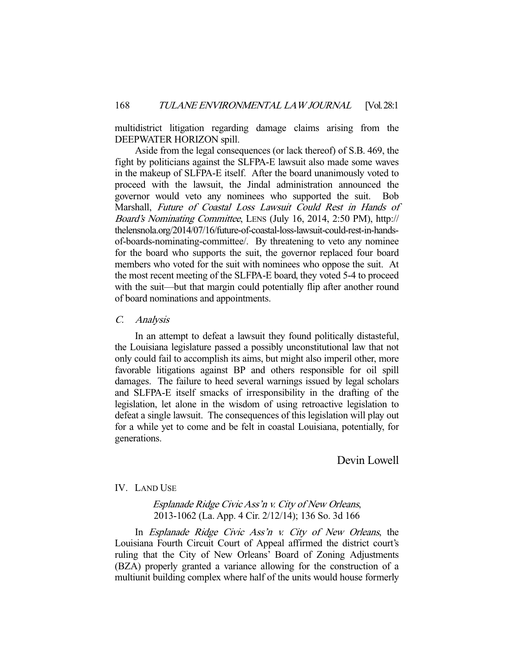multidistrict litigation regarding damage claims arising from the DEEPWATER HORIZON spill.

 Aside from the legal consequences (or lack thereof) of S.B. 469, the fight by politicians against the SLFPA-E lawsuit also made some waves in the makeup of SLFPA-E itself. After the board unanimously voted to proceed with the lawsuit, the Jindal administration announced the governor would veto any nominees who supported the suit. Bob Marshall, Future of Coastal Loss Lawsuit Could Rest in Hands of Board's Nominating Committee, LENS (July 16, 2014, 2:50 PM), http:// thelensnola.org/2014/07/16/future-of-coastal-loss-lawsuit-could-rest-in-handsof-boards-nominating-committee/. By threatening to veto any nominee for the board who supports the suit, the governor replaced four board members who voted for the suit with nominees who oppose the suit. At the most recent meeting of the SLFPA-E board, they voted 5-4 to proceed with the suit—but that margin could potentially flip after another round of board nominations and appointments.

## C. Analysis

 In an attempt to defeat a lawsuit they found politically distasteful, the Louisiana legislature passed a possibly unconstitutional law that not only could fail to accomplish its aims, but might also imperil other, more favorable litigations against BP and others responsible for oil spill damages. The failure to heed several warnings issued by legal scholars and SLFPA-E itself smacks of irresponsibility in the drafting of the legislation, let alone in the wisdom of using retroactive legislation to defeat a single lawsuit. The consequences of this legislation will play out for a while yet to come and be felt in coastal Louisiana, potentially, for generations.

Devin Lowell

# IV. LAND USE

Esplanade Ridge Civic Ass'n v. City of New Orleans, 2013-1062 (La. App. 4 Cir. 2/12/14); 136 So. 3d 166

 In Esplanade Ridge Civic Ass'n v. City of New Orleans, the Louisiana Fourth Circuit Court of Appeal affirmed the district court's ruling that the City of New Orleans' Board of Zoning Adjustments (BZA) properly granted a variance allowing for the construction of a multiunit building complex where half of the units would house formerly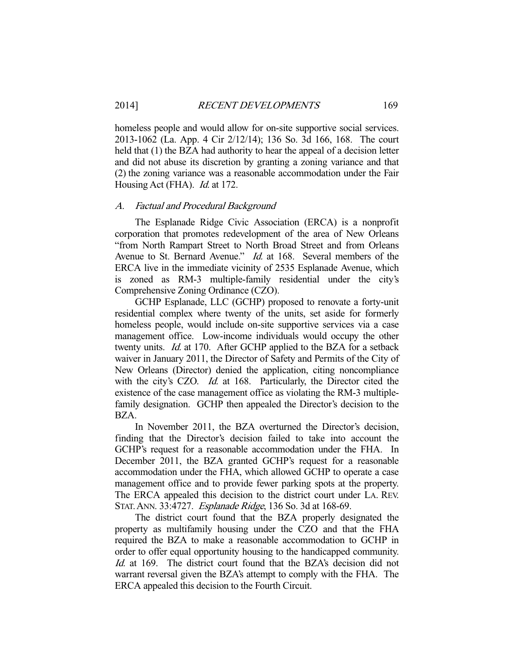homeless people and would allow for on-site supportive social services. 2013-1062 (La. App. 4 Cir 2/12/14); 136 So. 3d 166, 168. The court held that (1) the BZA had authority to hear the appeal of a decision letter and did not abuse its discretion by granting a zoning variance and that (2) the zoning variance was a reasonable accommodation under the Fair Housing Act (FHA). *Id.* at 172.

#### A. Factual and Procedural Background

 The Esplanade Ridge Civic Association (ERCA) is a nonprofit corporation that promotes redevelopment of the area of New Orleans "from North Rampart Street to North Broad Street and from Orleans Avenue to St. Bernard Avenue." *Id.* at 168. Several members of the ERCA live in the immediate vicinity of 2535 Esplanade Avenue, which is zoned as RM-3 multiple-family residential under the city's Comprehensive Zoning Ordinance (CZO).

 GCHP Esplanade, LLC (GCHP) proposed to renovate a forty-unit residential complex where twenty of the units, set aside for formerly homeless people, would include on-site supportive services via a case management office. Low-income individuals would occupy the other twenty units. *Id.* at 170. After GCHP applied to the BZA for a setback waiver in January 2011, the Director of Safety and Permits of the City of New Orleans (Director) denied the application, citing noncompliance with the city's CZO. *Id.* at 168. Particularly, the Director cited the existence of the case management office as violating the RM-3 multiplefamily designation. GCHP then appealed the Director's decision to the BZA.

 In November 2011, the BZA overturned the Director's decision, finding that the Director's decision failed to take into account the GCHP's request for a reasonable accommodation under the FHA. In December 2011, the BZA granted GCHP's request for a reasonable accommodation under the FHA, which allowed GCHP to operate a case management office and to provide fewer parking spots at the property. The ERCA appealed this decision to the district court under LA. REV. STAT.ANN. 33:4727. Esplanade Ridge, 136 So. 3d at 168-69.

 The district court found that the BZA properly designated the property as multifamily housing under the CZO and that the FHA required the BZA to make a reasonable accommodation to GCHP in order to offer equal opportunity housing to the handicapped community. Id. at 169. The district court found that the BZA's decision did not warrant reversal given the BZA's attempt to comply with the FHA. The ERCA appealed this decision to the Fourth Circuit.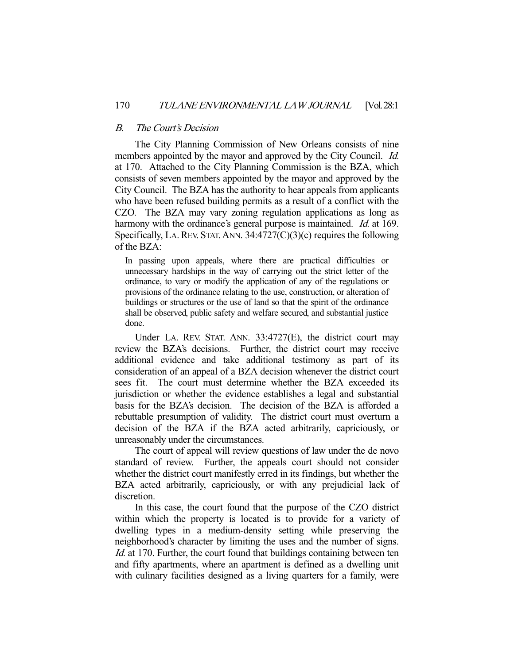## B. The Court's Decision

 The City Planning Commission of New Orleans consists of nine members appointed by the mayor and approved by the City Council. *Id.* at 170. Attached to the City Planning Commission is the BZA, which consists of seven members appointed by the mayor and approved by the City Council. The BZA has the authority to hear appeals from applicants who have been refused building permits as a result of a conflict with the CZO. The BZA may vary zoning regulation applications as long as harmony with the ordinance's general purpose is maintained. Id. at 169. Specifically, LA. REV. STAT. ANN.  $34:4727(C)(3)(c)$  requires the following of the BZA:

In passing upon appeals, where there are practical difficulties or unnecessary hardships in the way of carrying out the strict letter of the ordinance, to vary or modify the application of any of the regulations or provisions of the ordinance relating to the use, construction, or alteration of buildings or structures or the use of land so that the spirit of the ordinance shall be observed, public safety and welfare secured, and substantial justice done.

 Under LA. REV. STAT. ANN. 33:4727(E), the district court may review the BZA's decisions. Further, the district court may receive additional evidence and take additional testimony as part of its consideration of an appeal of a BZA decision whenever the district court sees fit. The court must determine whether the BZA exceeded its jurisdiction or whether the evidence establishes a legal and substantial basis for the BZA's decision. The decision of the BZA is afforded a rebuttable presumption of validity. The district court must overturn a decision of the BZA if the BZA acted arbitrarily, capriciously, or unreasonably under the circumstances.

 The court of appeal will review questions of law under the de novo standard of review. Further, the appeals court should not consider whether the district court manifestly erred in its findings, but whether the BZA acted arbitrarily, capriciously, or with any prejudicial lack of discretion.

 In this case, the court found that the purpose of the CZO district within which the property is located is to provide for a variety of dwelling types in a medium-density setting while preserving the neighborhood's character by limiting the uses and the number of signs. Id. at 170. Further, the court found that buildings containing between ten and fifty apartments, where an apartment is defined as a dwelling unit with culinary facilities designed as a living quarters for a family, were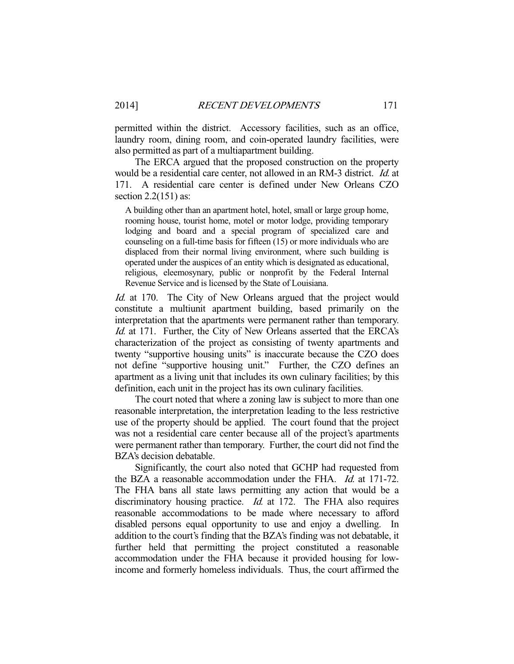permitted within the district. Accessory facilities, such as an office, laundry room, dining room, and coin-operated laundry facilities, were also permitted as part of a multiapartment building.

 The ERCA argued that the proposed construction on the property would be a residential care center, not allowed in an RM-3 district. Id. at 171. A residential care center is defined under New Orleans CZO section 2.2(151) as:

A building other than an apartment hotel, hotel, small or large group home, rooming house, tourist home, motel or motor lodge, providing temporary lodging and board and a special program of specialized care and counseling on a full-time basis for fifteen (15) or more individuals who are displaced from their normal living environment, where such building is operated under the auspices of an entity which is designated as educational, religious, eleemosynary, public or nonprofit by the Federal Internal Revenue Service and is licensed by the State of Louisiana.

Id. at 170. The City of New Orleans argued that the project would constitute a multiunit apartment building, based primarily on the interpretation that the apartments were permanent rather than temporary. Id. at 171. Further, the City of New Orleans asserted that the ERCA's characterization of the project as consisting of twenty apartments and twenty "supportive housing units" is inaccurate because the CZO does not define "supportive housing unit." Further, the CZO defines an apartment as a living unit that includes its own culinary facilities; by this definition, each unit in the project has its own culinary facilities.

 The court noted that where a zoning law is subject to more than one reasonable interpretation, the interpretation leading to the less restrictive use of the property should be applied. The court found that the project was not a residential care center because all of the project's apartments were permanent rather than temporary. Further, the court did not find the BZA's decision debatable.

 Significantly, the court also noted that GCHP had requested from the BZA a reasonable accommodation under the FHA. Id. at 171-72. The FHA bans all state laws permitting any action that would be a discriminatory housing practice. *Id.* at 172. The FHA also requires reasonable accommodations to be made where necessary to afford disabled persons equal opportunity to use and enjoy a dwelling. In addition to the court's finding that the BZA's finding was not debatable, it further held that permitting the project constituted a reasonable accommodation under the FHA because it provided housing for lowincome and formerly homeless individuals. Thus, the court affirmed the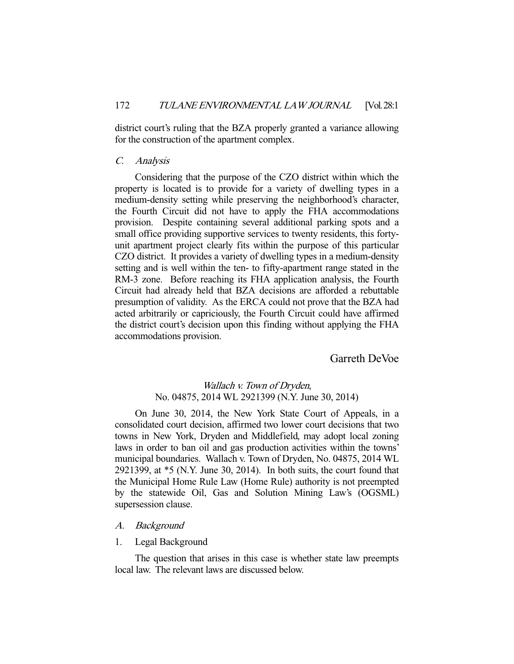district court's ruling that the BZA properly granted a variance allowing for the construction of the apartment complex.

## C. Analysis

 Considering that the purpose of the CZO district within which the property is located is to provide for a variety of dwelling types in a medium-density setting while preserving the neighborhood's character, the Fourth Circuit did not have to apply the FHA accommodations provision. Despite containing several additional parking spots and a small office providing supportive services to twenty residents, this fortyunit apartment project clearly fits within the purpose of this particular CZO district. It provides a variety of dwelling types in a medium-density setting and is well within the ten- to fifty-apartment range stated in the RM-3 zone. Before reaching its FHA application analysis, the Fourth Circuit had already held that BZA decisions are afforded a rebuttable presumption of validity. As the ERCA could not prove that the BZA had acted arbitrarily or capriciously, the Fourth Circuit could have affirmed the district court's decision upon this finding without applying the FHA accommodations provision.

Garreth DeVoe

# Wallach v. Town of Dryden, No. 04875, 2014 WL 2921399 (N.Y. June 30, 2014)

 On June 30, 2014, the New York State Court of Appeals, in a consolidated court decision, affirmed two lower court decisions that two towns in New York, Dryden and Middlefield, may adopt local zoning laws in order to ban oil and gas production activities within the towns' municipal boundaries. Wallach v. Town of Dryden, No. 04875, 2014 WL 2921399, at \*5 (N.Y. June 30, 2014). In both suits, the court found that the Municipal Home Rule Law (Home Rule) authority is not preempted by the statewide Oil, Gas and Solution Mining Law's (OGSML) supersession clause.

# A. Background

# 1. Legal Background

 The question that arises in this case is whether state law preempts local law. The relevant laws are discussed below.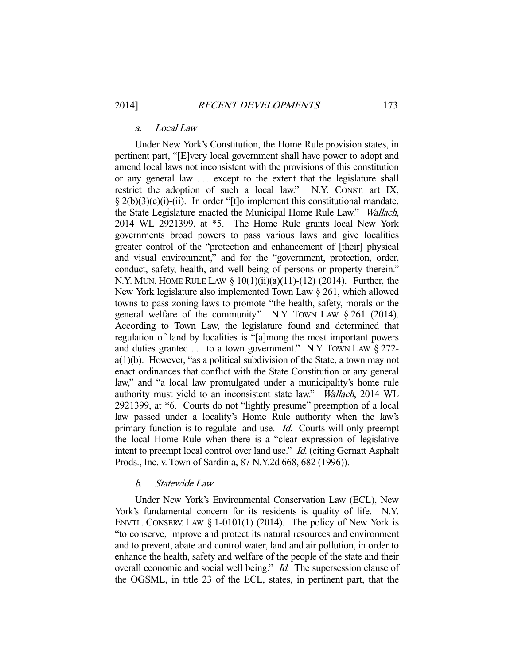# a. Local Law

 Under New York's Constitution, the Home Rule provision states, in pertinent part, "[E]very local government shall have power to adopt and amend local laws not inconsistent with the provisions of this constitution or any general law . . . except to the extent that the legislature shall restrict the adoption of such a local law." N.Y. CONST. art IX,  $\S 2(b)(3)(c)(i)$ -(ii). In order "[t]o implement this constitutional mandate, the State Legislature enacted the Municipal Home Rule Law." Wallach, 2014 WL 2921399, at \*5. The Home Rule grants local New York governments broad powers to pass various laws and give localities greater control of the "protection and enhancement of [their] physical and visual environment," and for the "government, protection, order, conduct, safety, health, and well-being of persons or property therein." N.Y. MUN. HOME RULE LAW § 10(1)(ii)(a)(11)-(12) (2014). Further, the New York legislature also implemented Town Law § 261, which allowed towns to pass zoning laws to promote "the health, safety, morals or the general welfare of the community." N.Y. TOWN LAW § 261 (2014). According to Town Law, the legislature found and determined that regulation of land by localities is "[a]mong the most important powers and duties granted  $\dots$  to a town government." N.Y. Town LAW  $\S 272$  $a(1)(b)$ . However, "as a political subdivision of the State, a town may not enact ordinances that conflict with the State Constitution or any general law," and "a local law promulgated under a municipality's home rule authority must yield to an inconsistent state law." Wallach, 2014 WL 2921399, at \*6. Courts do not "lightly presume" preemption of a local law passed under a locality's Home Rule authority when the law's primary function is to regulate land use. *Id.* Courts will only preempt the local Home Rule when there is a "clear expression of legislative intent to preempt local control over land use." *Id.* (citing Gernatt Asphalt Prods., Inc. v. Town of Sardinia, 87 N.Y.2d 668, 682 (1996)).

# b. Statewide Law

 Under New York's Environmental Conservation Law (ECL), New York's fundamental concern for its residents is quality of life. N.Y. ENVTL. CONSERV. LAW  $\S$  1-0101(1) (2014). The policy of New York is "to conserve, improve and protect its natural resources and environment and to prevent, abate and control water, land and air pollution, in order to enhance the health, safety and welfare of the people of the state and their overall economic and social well being." Id. The supersession clause of the OGSML, in title 23 of the ECL, states, in pertinent part, that the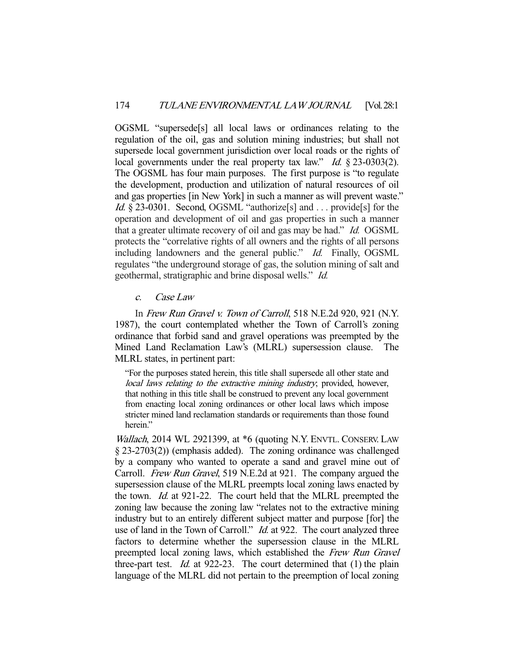OGSML "supersede[s] all local laws or ordinances relating to the regulation of the oil, gas and solution mining industries; but shall not supersede local government jurisdiction over local roads or the rights of local governments under the real property tax law." *Id.* § 23-0303(2). The OGSML has four main purposes. The first purpose is "to regulate the development, production and utilization of natural resources of oil and gas properties [in New York] in such a manner as will prevent waste." Id. § 23-0301. Second, OGSML "authorize<sup>[s]</sup> and . . . provide<sup>[s]</sup> for the operation and development of oil and gas properties in such a manner that a greater ultimate recovery of oil and gas may be had." Id. OGSML protects the "correlative rights of all owners and the rights of all persons including landowners and the general public." Id. Finally, OGSML regulates "the underground storage of gas, the solution mining of salt and geothermal, stratigraphic and brine disposal wells." Id.

# c. Case Law

 In Frew Run Gravel v. Town of Carroll, 518 N.E.2d 920, 921 (N.Y. 1987), the court contemplated whether the Town of Carroll's zoning ordinance that forbid sand and gravel operations was preempted by the Mined Land Reclamation Law's (MLRL) supersession clause. The MLRL states, in pertinent part:

"For the purposes stated herein, this title shall supersede all other state and local laws relating to the extractive mining industry, provided, however, that nothing in this title shall be construed to prevent any local government from enacting local zoning ordinances or other local laws which impose stricter mined land reclamation standards or requirements than those found herein."

Wallach, 2014 WL 2921399, at  $*6$  (quoting N.Y. ENVTL. CONSERV. LAW § 23-2703(2)) (emphasis added). The zoning ordinance was challenged by a company who wanted to operate a sand and gravel mine out of Carroll. Frew Run Gravel, 519 N.E.2d at 921. The company argued the supersession clause of the MLRL preempts local zoning laws enacted by the town. Id. at 921-22. The court held that the MLRL preempted the zoning law because the zoning law "relates not to the extractive mining industry but to an entirely different subject matter and purpose [for] the use of land in the Town of Carroll." *Id.* at 922. The court analyzed three factors to determine whether the supersession clause in the MLRL preempted local zoning laws, which established the Frew Run Gravel three-part test. Id. at 922-23. The court determined that (1) the plain language of the MLRL did not pertain to the preemption of local zoning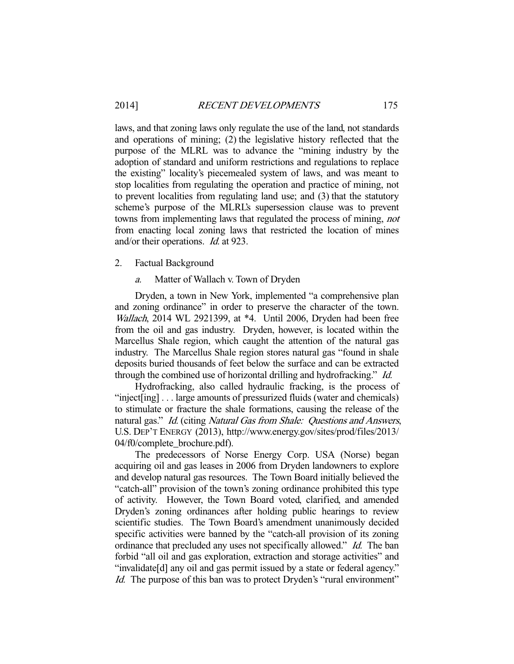laws, and that zoning laws only regulate the use of the land, not standards and operations of mining; (2) the legislative history reflected that the purpose of the MLRL was to advance the "mining industry by the adoption of standard and uniform restrictions and regulations to replace the existing" locality's piecemealed system of laws, and was meant to stop localities from regulating the operation and practice of mining, not to prevent localities from regulating land use; and (3) that the statutory scheme's purpose of the MLRL's supersession clause was to prevent towns from implementing laws that regulated the process of mining, not from enacting local zoning laws that restricted the location of mines and/or their operations. Id. at 923.

# 2. Factual Background

a. Matter of Wallach v. Town of Dryden

 Dryden, a town in New York, implemented "a comprehensive plan and zoning ordinance" in order to preserve the character of the town. Wallach, 2014 WL 2921399, at \*4. Until 2006, Dryden had been free from the oil and gas industry. Dryden, however, is located within the Marcellus Shale region, which caught the attention of the natural gas industry. The Marcellus Shale region stores natural gas "found in shale deposits buried thousands of feet below the surface and can be extracted through the combined use of horizontal drilling and hydrofracking." Id.

 Hydrofracking, also called hydraulic fracking, is the process of "inject[ing] . . . large amounts of pressurized fluids (water and chemicals) to stimulate or fracture the shale formations, causing the release of the natural gas." Id. (citing Natural Gas from Shale: Questions and Answers, U.S. DEP'T ENERGY (2013), http://www.energy.gov/sites/prod/files/2013/ 04/f0/complete\_brochure.pdf).

 The predecessors of Norse Energy Corp. USA (Norse) began acquiring oil and gas leases in 2006 from Dryden landowners to explore and develop natural gas resources. The Town Board initially believed the "catch-all" provision of the town's zoning ordinance prohibited this type of activity. However, the Town Board voted, clarified, and amended Dryden's zoning ordinances after holding public hearings to review scientific studies. The Town Board's amendment unanimously decided specific activities were banned by the "catch-all provision of its zoning ordinance that precluded any uses not specifically allowed." *Id.* The ban forbid "all oil and gas exploration, extraction and storage activities" and "invalidate[d] any oil and gas permit issued by a state or federal agency." Id. The purpose of this ban was to protect Dryden's "rural environment"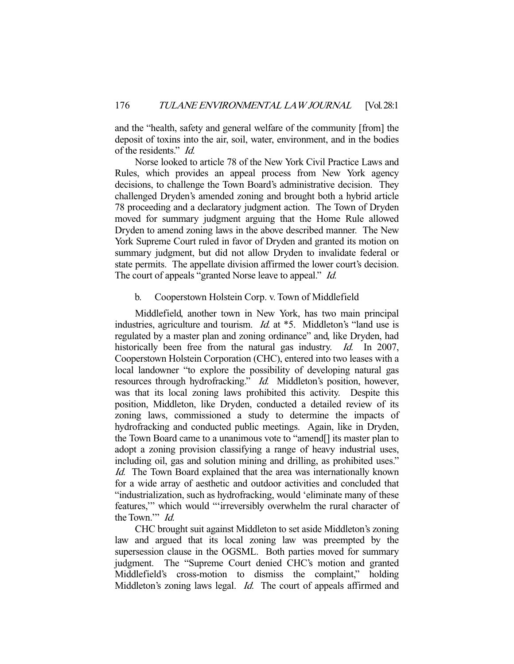and the "health, safety and general welfare of the community [from] the deposit of toxins into the air, soil, water, environment, and in the bodies of the residents." Id.

 Norse looked to article 78 of the New York Civil Practice Laws and Rules, which provides an appeal process from New York agency decisions, to challenge the Town Board's administrative decision. They challenged Dryden's amended zoning and brought both a hybrid article 78 proceeding and a declaratory judgment action. The Town of Dryden moved for summary judgment arguing that the Home Rule allowed Dryden to amend zoning laws in the above described manner. The New York Supreme Court ruled in favor of Dryden and granted its motion on summary judgment, but did not allow Dryden to invalidate federal or state permits. The appellate division affirmed the lower court's decision. The court of appeals "granted Norse leave to appeal." Id.

# b. Cooperstown Holstein Corp. v. Town of Middlefield

 Middlefield, another town in New York, has two main principal industries, agriculture and tourism. *Id.* at \*5. Middleton's "land use is regulated by a master plan and zoning ordinance" and, like Dryden, had historically been free from the natural gas industry. *Id.* In 2007, Cooperstown Holstein Corporation (CHC), entered into two leases with a local landowner "to explore the possibility of developing natural gas resources through hydrofracking." Id. Middleton's position, however, was that its local zoning laws prohibited this activity. Despite this position, Middleton, like Dryden, conducted a detailed review of its zoning laws, commissioned a study to determine the impacts of hydrofracking and conducted public meetings. Again, like in Dryden, the Town Board came to a unanimous vote to "amend[] its master plan to adopt a zoning provision classifying a range of heavy industrial uses, including oil, gas and solution mining and drilling, as prohibited uses." Id. The Town Board explained that the area was internationally known for a wide array of aesthetic and outdoor activities and concluded that "industrialization, such as hydrofracking, would 'eliminate many of these features,'" which would "'irreversibly overwhelm the rural character of the Town.'" Id.

 CHC brought suit against Middleton to set aside Middleton's zoning law and argued that its local zoning law was preempted by the supersession clause in the OGSML. Both parties moved for summary judgment. The "Supreme Court denied CHC's motion and granted Middlefield's cross-motion to dismiss the complaint," holding Middleton's zoning laws legal. *Id.* The court of appeals affirmed and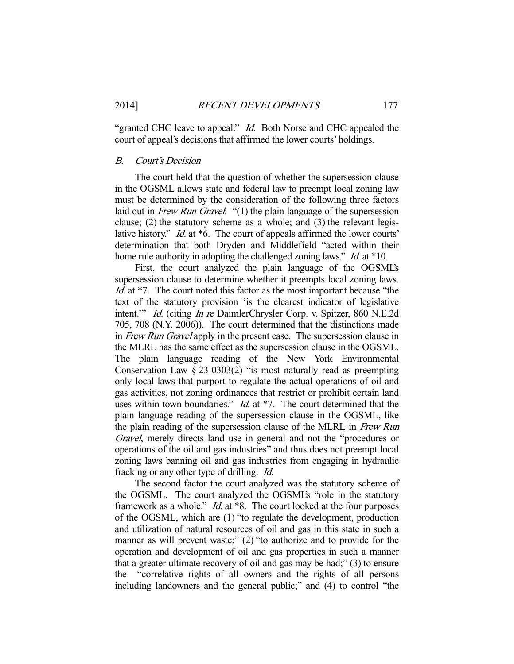"granted CHC leave to appeal." *Id.* Both Norse and CHC appealed the court of appeal's decisions that affirmed the lower courts' holdings.

# B. Court's Decision

 The court held that the question of whether the supersession clause in the OGSML allows state and federal law to preempt local zoning law must be determined by the consideration of the following three factors laid out in Frew Run Gravel: "(1) the plain language of the supersession clause; (2) the statutory scheme as a whole; and (3) the relevant legislative history." *Id.* at \*6. The court of appeals affirmed the lower courts' determination that both Dryden and Middlefield "acted within their home rule authority in adopting the challenged zoning laws." *Id.* at \*10.

 First, the court analyzed the plain language of the OGSML's supersession clause to determine whether it preempts local zoning laws. Id. at \*7. The court noted this factor as the most important because "the text of the statutory provision 'is the clearest indicator of legislative intent.'" Id. (citing In re DaimlerChrysler Corp. v. Spitzer, 860 N.E.2d 705, 708 (N.Y. 2006)). The court determined that the distinctions made in *Frew Run Gravel* apply in the present case. The supersession clause in the MLRL has the same effect as the supersession clause in the OGSML. The plain language reading of the New York Environmental Conservation Law  $\S 23-0303(2)$  "is most naturally read as preempting only local laws that purport to regulate the actual operations of oil and gas activities, not zoning ordinances that restrict or prohibit certain land uses within town boundaries." *Id.* at \*7. The court determined that the plain language reading of the supersession clause in the OGSML, like the plain reading of the supersession clause of the MLRL in Frew Run Gravel, merely directs land use in general and not the "procedures or operations of the oil and gas industries" and thus does not preempt local zoning laws banning oil and gas industries from engaging in hydraulic fracking or any other type of drilling. Id.

 The second factor the court analyzed was the statutory scheme of the OGSML. The court analyzed the OGSML's "role in the statutory framework as a whole." Id. at \*8. The court looked at the four purposes of the OGSML, which are (1) "to regulate the development, production and utilization of natural resources of oil and gas in this state in such a manner as will prevent waste;" (2) "to authorize and to provide for the operation and development of oil and gas properties in such a manner that a greater ultimate recovery of oil and gas may be had;" (3) to ensure the "correlative rights of all owners and the rights of all persons including landowners and the general public;" and (4) to control "the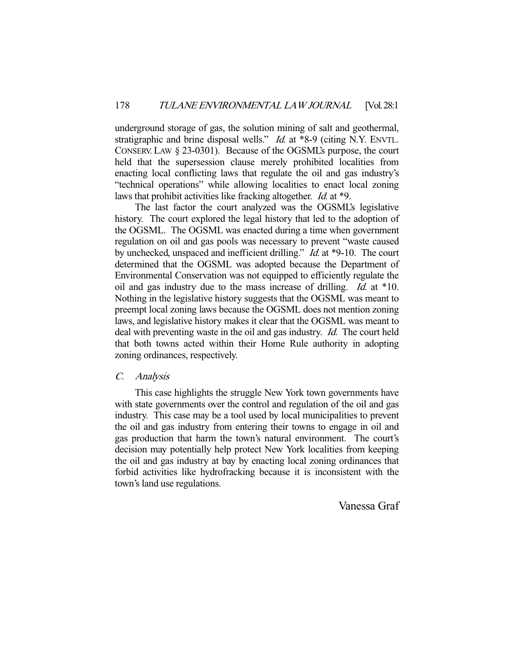underground storage of gas, the solution mining of salt and geothermal, stratigraphic and brine disposal wells." *Id.* at \*8-9 (citing N.Y. ENVTL. CONSERV. LAW § 23-0301). Because of the OGSML's purpose, the court held that the supersession clause merely prohibited localities from enacting local conflicting laws that regulate the oil and gas industry's "technical operations" while allowing localities to enact local zoning laws that prohibit activities like fracking altogether. *Id.* at \*9.

 The last factor the court analyzed was the OGSML's legislative history. The court explored the legal history that led to the adoption of the OGSML. The OGSML was enacted during a time when government regulation on oil and gas pools was necessary to prevent "waste caused by unchecked, unspaced and inefficient drilling." *Id.* at \*9-10. The court determined that the OGSML was adopted because the Department of Environmental Conservation was not equipped to efficiently regulate the oil and gas industry due to the mass increase of drilling. Id. at \*10. Nothing in the legislative history suggests that the OGSML was meant to preempt local zoning laws because the OGSML does not mention zoning laws, and legislative history makes it clear that the OGSML was meant to deal with preventing waste in the oil and gas industry. *Id.* The court held that both towns acted within their Home Rule authority in adopting zoning ordinances, respectively.

# C. Analysis

 This case highlights the struggle New York town governments have with state governments over the control and regulation of the oil and gas industry. This case may be a tool used by local municipalities to prevent the oil and gas industry from entering their towns to engage in oil and gas production that harm the town's natural environment. The court's decision may potentially help protect New York localities from keeping the oil and gas industry at bay by enacting local zoning ordinances that forbid activities like hydrofracking because it is inconsistent with the town's land use regulations.

Vanessa Graf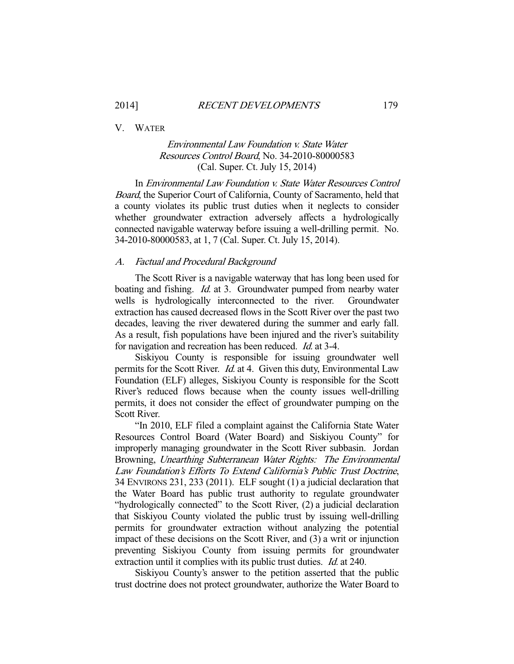V. WATER

# Environmental Law Foundation v. State Water Resources Control Board, No. 34-2010-80000583 (Cal. Super. Ct. July 15, 2014)

 In Environmental Law Foundation v. State Water Resources Control Board, the Superior Court of California, County of Sacramento, held that a county violates its public trust duties when it neglects to consider whether groundwater extraction adversely affects a hydrologically connected navigable waterway before issuing a well-drilling permit. No. 34-2010-80000583, at 1, 7 (Cal. Super. Ct. July 15, 2014).

### A. Factual and Procedural Background

 The Scott River is a navigable waterway that has long been used for boating and fishing. *Id.* at 3. Groundwater pumped from nearby water wells is hydrologically interconnected to the river. Groundwater extraction has caused decreased flows in the Scott River over the past two decades, leaving the river dewatered during the summer and early fall. As a result, fish populations have been injured and the river's suitability for navigation and recreation has been reduced. Id. at 3-4.

 Siskiyou County is responsible for issuing groundwater well permits for the Scott River. Id. at 4. Given this duty, Environmental Law Foundation (ELF) alleges, Siskiyou County is responsible for the Scott River's reduced flows because when the county issues well-drilling permits, it does not consider the effect of groundwater pumping on the Scott River.

 "In 2010, ELF filed a complaint against the California State Water Resources Control Board (Water Board) and Siskiyou County" for improperly managing groundwater in the Scott River subbasin. Jordan Browning, Unearthing Subterranean Water Rights: The Environmental Law Foundation's Efforts To Extend California's Public Trust Doctrine, 34 ENVIRONS 231, 233 (2011). ELF sought (1) a judicial declaration that the Water Board has public trust authority to regulate groundwater "hydrologically connected" to the Scott River, (2) a judicial declaration that Siskiyou County violated the public trust by issuing well-drilling permits for groundwater extraction without analyzing the potential impact of these decisions on the Scott River, and (3) a writ or injunction preventing Siskiyou County from issuing permits for groundwater extraction until it complies with its public trust duties. *Id.* at 240.

 Siskiyou County's answer to the petition asserted that the public trust doctrine does not protect groundwater, authorize the Water Board to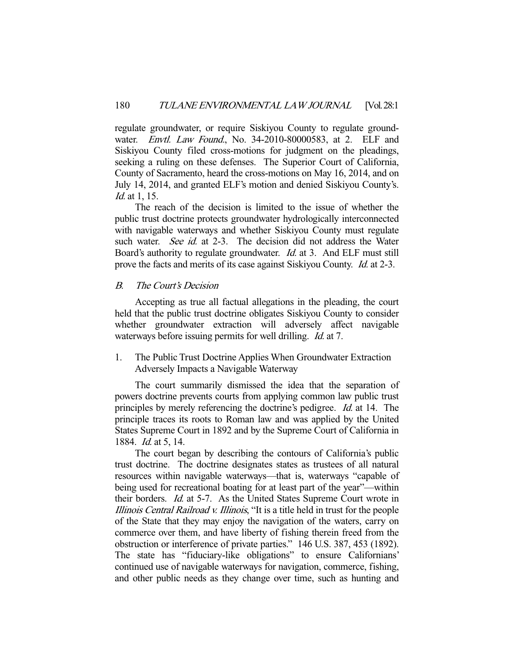regulate groundwater, or require Siskiyou County to regulate groundwater. Envtl. Law Found., No. 34-2010-80000583, at 2. ELF and Siskiyou County filed cross-motions for judgment on the pleadings, seeking a ruling on these defenses. The Superior Court of California, County of Sacramento, heard the cross-motions on May 16, 2014, and on July 14, 2014, and granted ELF's motion and denied Siskiyou County's. Id. at 1, 15.

 The reach of the decision is limited to the issue of whether the public trust doctrine protects groundwater hydrologically interconnected with navigable waterways and whether Siskiyou County must regulate such water. See id. at 2-3. The decision did not address the Water Board's authority to regulate groundwater. *Id.* at 3. And ELF must still prove the facts and merits of its case against Siskiyou County. *Id.* at 2-3.

# B. The Court's Decision

 Accepting as true all factual allegations in the pleading, the court held that the public trust doctrine obligates Siskiyou County to consider whether groundwater extraction will adversely affect navigable waterways before issuing permits for well drilling. *Id.* at 7.

1. The Public Trust Doctrine Applies When Groundwater Extraction Adversely Impacts a Navigable Waterway

 The court summarily dismissed the idea that the separation of powers doctrine prevents courts from applying common law public trust principles by merely referencing the doctrine's pedigree. Id. at 14. The principle traces its roots to Roman law and was applied by the United States Supreme Court in 1892 and by the Supreme Court of California in 1884. Id. at 5, 14.

 The court began by describing the contours of California's public trust doctrine. The doctrine designates states as trustees of all natural resources within navigable waterways—that is, waterways "capable of being used for recreational boating for at least part of the year"—within their borders. Id. at 5-7. As the United States Supreme Court wrote in Illinois Central Railroad v. Illinois, "It is a title held in trust for the people of the State that they may enjoy the navigation of the waters, carry on commerce over them, and have liberty of fishing therein freed from the obstruction or interference of private parties." 146 U.S. 387, 453 (1892). The state has "fiduciary-like obligations" to ensure Californians' continued use of navigable waterways for navigation, commerce, fishing, and other public needs as they change over time, such as hunting and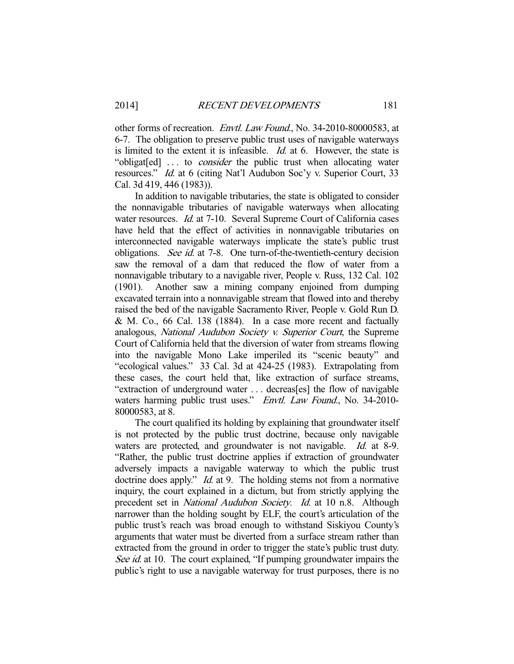other forms of recreation. *Envtl. Law Found*., No. 34-2010-80000583, at 6-7. The obligation to preserve public trust uses of navigable waterways is limited to the extent it is infeasible. *Id.* at 6. However, the state is "obligat[ed] ... to *consider* the public trust when allocating water resources." Id. at 6 (citing Nat'l Audubon Soc'y v. Superior Court, 33 Cal. 3d 419, 446 (1983)).

 In addition to navigable tributaries, the state is obligated to consider the nonnavigable tributaries of navigable waterways when allocating water resources. *Id.* at 7-10. Several Supreme Court of California cases have held that the effect of activities in nonnavigable tributaries on interconnected navigable waterways implicate the state's public trust obligations. See id. at 7-8. One turn-of-the-twentieth-century decision saw the removal of a dam that reduced the flow of water from a nonnavigable tributary to a navigable river, People v. Russ, 132 Cal. 102 (1901). Another saw a mining company enjoined from dumping excavated terrain into a nonnavigable stream that flowed into and thereby raised the bed of the navigable Sacramento River, People v. Gold Run D. & M. Co., 66 Cal. 138 (1884). In a case more recent and factually analogous, National Audubon Society v. Superior Court, the Supreme Court of California held that the diversion of water from streams flowing into the navigable Mono Lake imperiled its "scenic beauty" and "ecological values." 33 Cal. 3d at 424-25 (1983). Extrapolating from these cases, the court held that, like extraction of surface streams, "extraction of underground water . . . decreas[es] the flow of navigable waters harming public trust uses." Envtl. Law Found., No. 34-2010-80000583, at 8.

 The court qualified its holding by explaining that groundwater itself is not protected by the public trust doctrine, because only navigable waters are protected, and groundwater is not navigable. *Id.* at 8-9. "Rather, the public trust doctrine applies if extraction of groundwater adversely impacts a navigable waterway to which the public trust doctrine does apply." *Id.* at 9. The holding stems not from a normative inquiry, the court explained in a dictum, but from strictly applying the precedent set in National Audubon Society. Id. at 10 n.8. Although narrower than the holding sought by ELF, the court's articulation of the public trust's reach was broad enough to withstand Siskiyou County's arguments that water must be diverted from a surface stream rather than extracted from the ground in order to trigger the state's public trust duty. See id. at 10. The court explained, "If pumping groundwater impairs the public's right to use a navigable waterway for trust purposes, there is no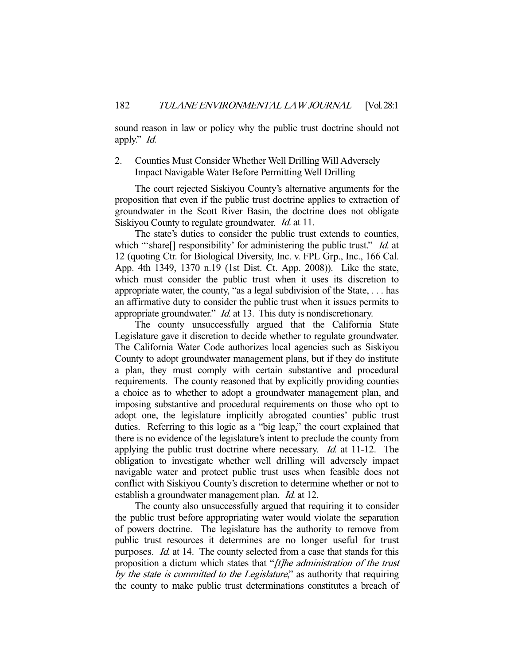sound reason in law or policy why the public trust doctrine should not apply." Id.

# 2. Counties Must Consider Whether Well Drilling Will Adversely Impact Navigable Water Before Permitting Well Drilling

 The court rejected Siskiyou County's alternative arguments for the proposition that even if the public trust doctrine applies to extraction of groundwater in the Scott River Basin, the doctrine does not obligate Siskiyou County to regulate groundwater. *Id.* at 11.

 The state's duties to consider the public trust extends to counties, which "'share[] responsibility' for administering the public trust." *Id.* at 12 (quoting Ctr. for Biological Diversity, Inc. v. FPL Grp., Inc., 166 Cal. App. 4th 1349, 1370 n.19 (1st Dist. Ct. App. 2008)). Like the state, which must consider the public trust when it uses its discretion to appropriate water, the county, "as a legal subdivision of the State, . . . has an affirmative duty to consider the public trust when it issues permits to appropriate groundwater." *Id.* at 13. This duty is nondiscretionary.

 The county unsuccessfully argued that the California State Legislature gave it discretion to decide whether to regulate groundwater. The California Water Code authorizes local agencies such as Siskiyou County to adopt groundwater management plans, but if they do institute a plan, they must comply with certain substantive and procedural requirements. The county reasoned that by explicitly providing counties a choice as to whether to adopt a groundwater management plan, and imposing substantive and procedural requirements on those who opt to adopt one, the legislature implicitly abrogated counties' public trust duties. Referring to this logic as a "big leap," the court explained that there is no evidence of the legislature's intent to preclude the county from applying the public trust doctrine where necessary. *Id.* at 11-12. The obligation to investigate whether well drilling will adversely impact navigable water and protect public trust uses when feasible does not conflict with Siskiyou County's discretion to determine whether or not to establish a groundwater management plan. Id. at 12.

 The county also unsuccessfully argued that requiring it to consider the public trust before appropriating water would violate the separation of powers doctrine. The legislature has the authority to remove from public trust resources it determines are no longer useful for trust purposes. *Id.* at 14. The county selected from a case that stands for this proposition a dictum which states that "[t]he administration of the trust by the state is committed to the Legislature," as authority that requiring the county to make public trust determinations constitutes a breach of